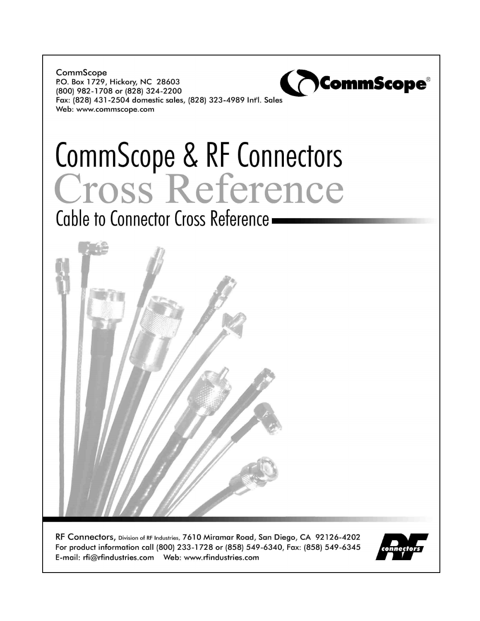CommScope P.O. Box 1729, Hickory, NC 28603 (800) 982-1708 or (828) 324-2200 Fax: (828) 431-2504 domestic sales, (828) 323-4989 Int'l. Sales Web: www.commscope.com

# CommScope & RF Connectors

Cable to Connector Cross Reference.



RF Connectors, Division of RF Industries, 7610 Miramar Road, San Diego, CA 92126-4202 For product information call (800) 233-1728 or (858) 549-6340, Fax: (858) 549-6345 



**\CommScope®**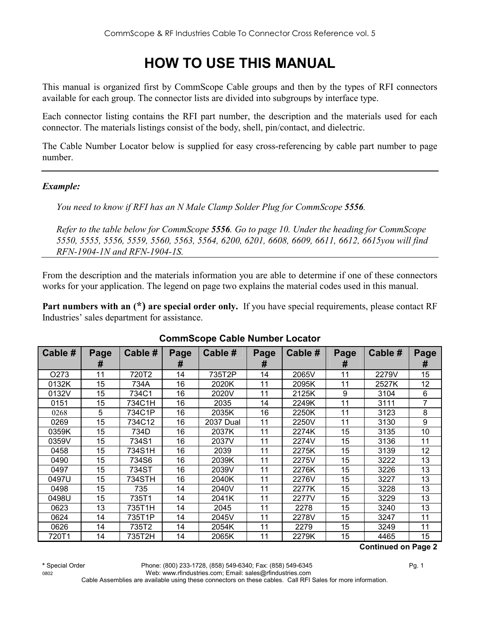# **HOW TO USE THIS MANUAL**

This manual is organized first by CommScope Cable groups and then by the types of RFI connectors available for each group. The connector lists are divided into subgroups by interface type.

Each connector listing contains the RFI part number, the description and the materials used for each connector. The materials listings consist of the body, shell, pin/contact, and dielectric.

The Cable Number Locator below is supplied for easy cross-referencing by cable part number to page number.

#### *Example:*

*You need to know if RFI has an N Male Clamp Solder Plug for CommScope 5556.* 

*Refer to the table below for CommScope 5556. Go to page 10. Under the heading for CommScope 5550, 5555, 5556, 5559, 5560, 5563, 5564, 6200, 6201, 6608, 6609, 6611, 6612, 6615you will find RFN-1904-1N and RFN-1904-1S.* 

From the description and the materials information you are able to determine if one of these connectors works for your application. The legend on page two explains the material codes used in this manual.

**Part numbers with an (\*) are special order only.** If you have special requirements, please contact RF Industries' sales department for assistance.

|                   |      |         | -    |                  |      |         |      |         |      |
|-------------------|------|---------|------|------------------|------|---------|------|---------|------|
| Cable #           | Page | Cable # | Page | Cable #          | Page | Cable # | Page | Cable # | Page |
|                   | #    |         | #    |                  | #    |         | #    |         | #    |
| O <sub>2</sub> 73 | 11   | 720T2   | 14   | 735T2P           | 14   | 2065V   | 11   | 2279V   | 15   |
| 0132K             | 15   | 734A    | 16   | 2020K            | 11   | 2095K   | 11   | 2527K   | 12   |
| 0132V             | 15   | 734C1   | 16   | 2020V            | 11   | 2125K   | 9    | 3104    | 6    |
| 0151              | 15   | 734C1H  | 16   | 2035             | 14   | 2249K   | 11   | 3111    | 7    |
| 0268              | 5    | 734C1P  | 16   | 2035K            | 16   | 2250K   | 11   | 3123    | 8    |
| 0269              | 15   | 734C12  | 16   | <b>2037 Dual</b> | 11   | 2250V   | 11   | 3130    | 9    |
| 0359K             | 15   | 734D    | 16   | 2037K            | 11   | 2274K   | 15   | 3135    | 10   |
| 0359V             | 15   | 734S1   | 16   | 2037V            | 11   | 2274V   | 15   | 3136    | 11   |
| 0458              | 15   | 734S1H  | 16   | 2039             | 11   | 2275K   | 15   | 3139    | 12   |
| 0490              | 15   | 734S6   | 16   | 2039K            | 11   | 2275V   | 15   | 3222    | 13   |
| 0497              | 15   | 734ST   | 16   | 2039V            | 11   | 2276K   | 15   | 3226    | 13   |
| 0497U             | 15   | 734STH  | 16   | 2040K            | 11   | 2276V   | 15   | 3227    | 13   |
| 0498              | 15   | 735     | 14   | 2040V            | 11   | 2277K   | 15   | 3228    | 13   |
| 0498U             | 15   | 735T1   | 14   | 2041K            | 11   | 2277V   | 15   | 3229    | 13   |
| 0623              | 13   | 735T1H  | 14   | 2045             | 11   | 2278    | 15   | 3240    | 13   |
| 0624              | 14   | 735T1P  | 14   | 2045V            | 11   | 2278V   | 15   | 3247    | 11   |
| 0626              | 14   | 735T2   | 14   | 2054K            | 11   | 2279    | 15   | 3249    | 11   |
| 720T1             | 14   | 735T2H  | 14   | 2065K            | 11   | 2279K   | 15   | 4465    | 15   |

#### **CommScope Cable Number Locator**

 **Continued on Page 2**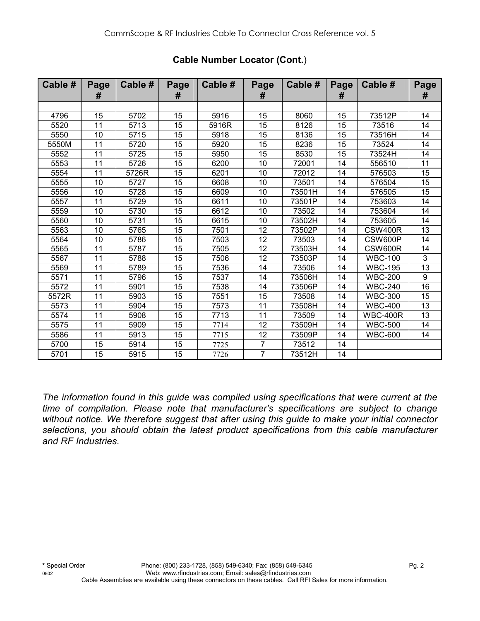| Cable # | Page<br># | Cable # | Page<br>#       | Cable # | Page<br>#       | Cable # | Page<br># | Cable #         | Page<br>#       |
|---------|-----------|---------|-----------------|---------|-----------------|---------|-----------|-----------------|-----------------|
|         |           |         |                 |         |                 |         |           |                 |                 |
| 4796    | 15        | 5702    | 15              | 5916    | 15              | 8060    | 15        | 73512P          | 14              |
| 5520    | 11        | 5713    | 15              | 5916R   | 15              | 8126    | 15        | 73516           | 14              |
| 5550    | 10        | 5715    | 15              | 5918    | 15              | 8136    | 15        | 73516H          | 14              |
| 5550M   | 11        | 5720    | 15              | 5920    | 15              | 8236    | 15        | 73524           | 14              |
| 5552    | 11        | 5725    | 15              | 5950    | 15              | 8530    | 15        | 73524H          | 14              |
| 5553    | 11        | 5726    | 15              | 6200    | 10              | 72001   | 14        | 556510          | 11              |
| 5554    | 11        | 5726R   | 15              | 6201    | 10              | 72012   | 14        | 576503          | 15              |
| 5555    | 10        | 5727    | 15              | 6608    | 10              | 73501   | 14        | 576504          | 15              |
| 5556    | 10        | 5728    | 15              | 6609    | 10              | 73501H  | 14        | 576505          | 15              |
| 5557    | 11        | 5729    | 15              | 6611    | 10              | 73501P  | 14        | 753603          | 14              |
| 5559    | 10        | 5730    | 15              | 6612    | 10              | 73502   | 14        | 753604          | 14              |
| 5560    | 10        | 5731    | 15              | 6615    | 10              | 73502H  | 14        | 753605          | 14              |
| 5563    | 10        | 5765    | 15              | 7501    | $\overline{12}$ | 73502P  | 14        | CSW400R         | $\overline{13}$ |
| 5564    | 10        | 5786    | 15              | 7503    | 12              | 73503   | 14        | CSW600P         | 14              |
| 5565    | 11        | 5787    | 15              | 7505    | 12              | 73503H  | 14        | CSW600R         | 14              |
| 5567    | 11        | 5788    | 15              | 7506    | 12              | 73503P  | 14        | <b>WBC-100</b>  | $\mathfrak{B}$  |
| 5569    | 11        | 5789    | 15              | 7536    | 14              | 73506   | 14        | <b>WBC-195</b>  | 13              |
| 5571    | 11        | 5796    | 15              | 7537    | 14              | 73506H  | 14        | <b>WBC-200</b>  | 9               |
| 5572    | 11        | 5901    | 15              | 7538    | 14              | 73506P  | 14        | <b>WBC-240</b>  | $\overline{16}$ |
| 5572R   | 11        | 5903    | 15              | 7551    | 15              | 73508   | 14        | <b>WBC-300</b>  | 15              |
| 5573    | 11        | 5904    | 15              | 7573    | 11              | 73508H  | 14        | <b>WBC-400</b>  | 13              |
| 5574    | 11        | 5908    | $\overline{15}$ | 7713    | 11              | 73509   | 14        | <b>WBC-400R</b> | 13              |
| 5575    | 11        | 5909    | 15              | 7714    | 12              | 73509H  | 14        | <b>WBC-500</b>  | 14              |
| 5586    | 11        | 5913    | 15              | 7715    | 12              | 73509P  | 14        | <b>WBC-600</b>  | 14              |
| 5700    | 15        | 5914    | 15              | 7725    | $\overline{7}$  | 73512   | 14        |                 |                 |
| 5701    | 15        | 5915    | 15              | 7726    | $\overline{7}$  | 73512H  | 14        |                 |                 |

## **Cable Number Locator (Cont.**)

*The information found in this guide was compiled using specifications that were current at the time of compilation. Please note that manufacturer's specifications are subject to change without notice. We therefore suggest that after using this guide to make your initial connector selections, you should obtain the latest product specifications from this cable manufacturer and RF Industries.*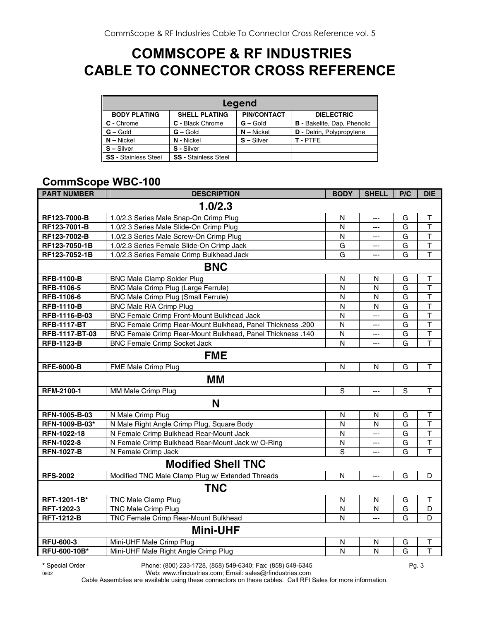## **COMMSCOPE & RF INDUSTRIES CABLE TO CONNECTOR CROSS REFERENCE**

|                             | Legend                      |                    |                                    |  |  |  |  |  |
|-----------------------------|-----------------------------|--------------------|------------------------------------|--|--|--|--|--|
| <b>BODY PLATING</b>         | <b>SHELL PLATING</b>        | <b>PIN/CONTACT</b> | <b>DIELECTRIC</b>                  |  |  |  |  |  |
| C - Chrome                  | C - Black Chrome            | $G -$ Gold         | <b>B</b> - Bakelite, Dap, Phenolic |  |  |  |  |  |
| $G - Gold$                  | $G - Gold$                  | $N - Nickel$       | <b>D</b> - Delrin, Polypropylene   |  |  |  |  |  |
| $N - Nickel$                | N - Nickel                  | $S - Silver$       | T-PTFE                             |  |  |  |  |  |
| $S - Silver$                | S - Silver                  |                    |                                    |  |  |  |  |  |
| <b>SS - Stainless Steel</b> | <b>SS - Stainless Steel</b> |                    |                                    |  |  |  |  |  |

## **CommScope WBC-100**

| <b>PART NUMBER</b> | <b>DESCRIPTION</b>                                                | <b>BODY</b>  | <b>SHELL</b>   | P/C            | <b>DIE</b>              |  |
|--------------------|-------------------------------------------------------------------|--------------|----------------|----------------|-------------------------|--|
|                    | 1.0/2.3                                                           |              |                |                |                         |  |
| RF123-7000-B       | 1.0/2.3 Series Male Snap-On Crimp Plug                            | N            | $\overline{a}$ | G              | T                       |  |
| RF123-7001-B       | 1.0/2.3 Series Male Slide-On Crimp Plug                           | N            | ---            | $\overline{G}$ | $\overline{\mathsf{T}}$ |  |
| RF123-7002-B       | 1.0/2.3 Series Male Screw-On Crimp Plug                           | N            | ---            | G              | $\overline{\mathsf{T}}$ |  |
| RF123-7050-1B      | 1.0/2.3 Series Female Slide-On Crimp Jack                         | G            | ---            | G              | $\top$                  |  |
| RF123-7052-1B      | 1.0/2.3 Series Female Crimp Bulkhead Jack                         | G            | ---            | G              | $\overline{\mathsf{T}}$ |  |
|                    | <b>BNC</b>                                                        |              |                |                |                         |  |
| <b>RFB-1100-B</b>  | <b>BNC Male Clamp Solder Plug</b>                                 | $\mathsf{N}$ | N              | G              | $\mathsf T$             |  |
| RFB-1106-5         | BNC Male Crimp Plug (Large Ferrule)                               | $\mathsf{N}$ | $\mathsf{N}$   | G              | $\top$                  |  |
| RFB-1106-6         | <b>BNC Male Crimp Plug (Small Ferrule)</b>                        | N            | N              | G              | $\top$                  |  |
| <b>RFB-1110-B</b>  | BNC Male R/A Crimp Plug                                           | N            | N              | G              | $\overline{\mathsf{T}}$ |  |
| RFB-1116-B-03      | BNC Female Crimp Front-Mount Bulkhead Jack                        | N            | $\overline{a}$ | G              | T                       |  |
| <b>RFB-1117-BT</b> | <b>BNC Female Crimp Rear-Mount Bulkhead, Panel Thickness .200</b> | N            | $---$          | G              | $\overline{\mathsf{T}}$ |  |
| RFB-1117-BT-03     | <b>BNC Female Crimp Rear-Mount Bulkhead, Panel Thickness .140</b> | N            | $\overline{a}$ | G              | $\overline{\mathsf{T}}$ |  |
| <b>RFB-1123-B</b>  | <b>BNC Female Crimp Socket Jack</b>                               | N            | ---            | G              | $\overline{\mathsf{T}}$ |  |
| <b>FME</b>         |                                                                   |              |                |                |                         |  |
| <b>RFE-6000-B</b>  | FME Male Crimp Plug                                               | $\mathsf{N}$ | N              | G              | $\top$                  |  |
|                    | MМ                                                                |              |                |                |                         |  |
| RFM-2100-1         | MM Male Crimp Plug                                                | $\mathsf S$  | ---            | $\mathsf S$    | $\top$                  |  |
|                    | N                                                                 |              |                |                |                         |  |
| RFN-1005-B-03      | N Male Crimp Plug                                                 | $\mathsf{N}$ | $\mathsf{N}$   | G              | $\mathsf T$             |  |
| RFN-1009-B-03*     | N Male Right Angle Crimp Plug, Square Body                        | $\mathsf{N}$ | $\mathsf{N}$   | G              | $\overline{\mathsf{T}}$ |  |
| RFN-1022-18        | N Female Crimp Bulkhead Rear-Mount Jack                           | N            | $---$          | G              | T                       |  |
| RFN-1022-8         | N Female Crimp Bulkhead Rear-Mount Jack w/ O-Ring                 | N            | $---$          | G              | $\mathsf{T}$            |  |
| <b>RFN-1027-B</b>  | N Female Crimp Jack                                               | S            | $-$            | G              | $\mathsf{T}$            |  |
|                    | <b>Modified Shell TNC</b>                                         |              |                |                |                         |  |
| <b>RFS-2002</b>    | Modified TNC Male Clamp Plug w/ Extended Threads                  | N            | $\overline{a}$ | G              | D                       |  |
|                    | <b>TNC</b>                                                        |              |                |                |                         |  |
| RFT-1201-1B*       | <b>TNC Male Clamp Plug</b>                                        | N            | N              | G              | Т                       |  |
| RFT-1202-3         | <b>TNC Male Crimp Plug</b>                                        | $\mathsf{N}$ | $\mathsf{N}$   | G              | D                       |  |
| <b>RFT-1212-B</b>  | TNC Female Crimp Rear-Mount Bulkhead                              | N            | ---            | G              | D                       |  |
|                    | <b>Mini-UHF</b>                                                   |              |                |                |                         |  |
| <b>RFU-600-3</b>   | Mini-UHF Male Crimp Plug                                          | $\mathsf{N}$ | $\mathsf{N}$   | G              | T                       |  |
| RFU-600-10B*       | Mini-UHF Male Right Angle Crimp Plug                              | N            | $\mathsf{N}$   | G              | $\overline{\mathsf{T}}$ |  |

**\*** Special Order Phone: (800) 233-1728, (858) 549-6340; Fax: (858) 549-6345 Pg. 3

0802 Web: www.rfindustries.com; Email: sales@rfindustries.com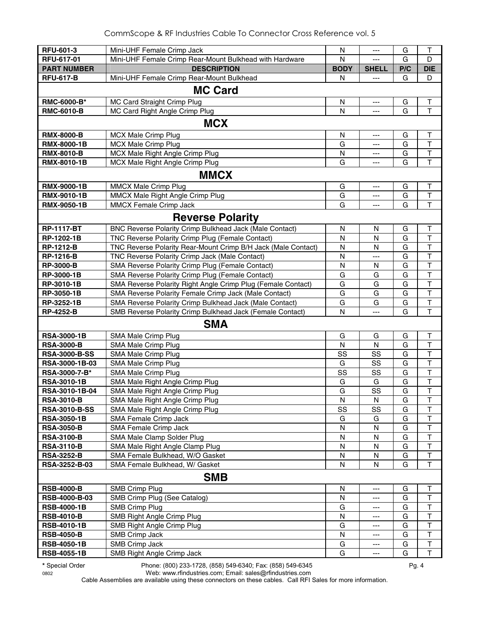| RFU-601-3                              | Mini-UHF Female Crimp Jack                                                                           | N           | ---            | G      | Τ                                      |  |  |
|----------------------------------------|------------------------------------------------------------------------------------------------------|-------------|----------------|--------|----------------------------------------|--|--|
| RFU-617-01                             | Mini-UHF Female Crimp Rear-Mount Bulkhead with Hardware                                              | N           |                | G      | D                                      |  |  |
| <b>PART NUMBER</b>                     | <b>DESCRIPTION</b>                                                                                   | <b>BODY</b> | <b>SHELL</b>   | P/C    | <b>DIE</b>                             |  |  |
| <b>RFU-617-B</b>                       | Mini-UHF Female Crimp Rear-Mount Bulkhead                                                            | N           | $\overline{a}$ | G      | D                                      |  |  |
| <b>MC Card</b>                         |                                                                                                      |             |                |        |                                        |  |  |
| RMC-6000-B*                            | MC Card Straight Crimp Plug                                                                          | N           | ---            | G      | $\mathsf T$                            |  |  |
| <b>RMC-6010-B</b>                      | MC Card Right Angle Crimp Plug                                                                       | N           | ---            | G      | T                                      |  |  |
|                                        |                                                                                                      |             |                |        |                                        |  |  |
|                                        | <b>MCX</b>                                                                                           |             |                |        |                                        |  |  |
| <b>RMX-8000-B</b>                      | <b>MCX Male Crimp Plug</b>                                                                           | N           | ---            | G      | Τ                                      |  |  |
| RMX-8000-1B                            | <b>MCX Male Crimp Plug</b>                                                                           | G           | ---            | G      | $\mathsf T$                            |  |  |
| <b>RMX-8010-B</b>                      | MCX Male Right Angle Crimp Plug                                                                      | N           | ---            | G      | $\mathsf T$                            |  |  |
| RMX-8010-1B                            | MCX Male Right Angle Crimp Plug                                                                      | G           | ---            | G      | $\mathsf{T}$                           |  |  |
|                                        | <b>MMCX</b>                                                                                          |             |                |        |                                        |  |  |
| <b>RMX-9000-1B</b>                     | MMCX Male Crimp Plug                                                                                 | G           | ---            | G      | $\top$                                 |  |  |
| RMX-9010-1B                            | MMCX Male Right Angle Crimp Plug                                                                     | G           | ---            | G      | $\mathsf T$                            |  |  |
| <b>RMX-9050-1B</b>                     | <b>MMCX Female Crimp Jack</b>                                                                        | G           | ---            | G      | $\mathsf{T}$                           |  |  |
|                                        | <b>Reverse Polarity</b>                                                                              |             |                |        |                                        |  |  |
|                                        |                                                                                                      |             |                |        |                                        |  |  |
| <b>RP-1117-BT</b>                      | BNC Reverse Polarity Crimp Bulkhead Jack (Male Contact)                                              | N           | N              | G      | Τ                                      |  |  |
| RP-1202-1B                             | TNC Reverse Polarity Crimp Plug (Female Contact)                                                     | N           | N              | G      | $\mathsf T$                            |  |  |
| <b>RP-1212-B</b><br><b>RP-1216-B</b>   | TNC Reverse Polarity Rear-Mount Crimp B/H Jack (Male Contact)                                        | N<br>N      | N              | G<br>G | $\mathsf T$<br>$\overline{\mathsf{T}}$ |  |  |
| <b>RP-3000-B</b>                       | TNC Reverse Polarity Crimp Jack (Male Contact)                                                       | N           | $---$          | G      | $\sf T$                                |  |  |
| RP-3000-1B                             | SMA Reverse Polarity Crimp Plug (Female Contact)<br>SMA Reverse Polarity Crimp Plug (Female Contact) |             | N              | G      | $\top$                                 |  |  |
| RP-3010-1B                             | SMA Reverse Polarity Right Angle Crimp Plug (Female Contact)                                         | G<br>G      | G<br>G         | G      | $\mathsf T$                            |  |  |
| <b>RP-3050-1B</b>                      | SMA Reverse Polarity Female Crimp Jack (Male Contact)                                                | G           | G              | G      | $\mathsf T$                            |  |  |
| RP-3252-1B                             | SMA Reverse Polarity Crimp Bulkhead Jack (Male Contact)                                              | G           | G              | G      | $\mathsf T$                            |  |  |
| <b>RP-4252-B</b>                       | SMB Reverse Polarity Crimp Bulkhead Jack (Female Contact)                                            | N           | ---            | G      | T                                      |  |  |
|                                        |                                                                                                      |             |                |        |                                        |  |  |
|                                        | <b>SMA</b>                                                                                           |             |                |        |                                        |  |  |
| <b>RSA-3000-1B</b>                     | SMA Male Crimp Plug                                                                                  | G           | G              | G      | $\mathsf T$                            |  |  |
| <b>RSA-3000-B</b>                      | SMA Male Crimp Plug                                                                                  | N           | N              | G      | $\top$                                 |  |  |
| <b>RSA-3000-B-SS</b>                   | SMA Male Crimp Plug                                                                                  | SS          | SS             | G      | $\mathsf{T}$                           |  |  |
| RSA-3000-1B-03                         | SMA Male Crimp Plug                                                                                  | G           | SS             | G      | $\mathsf{T}$                           |  |  |
| RSA-3000-7-B*                          | SMA Male Crimp Plug                                                                                  | SS          | SS             | G      | $\top$                                 |  |  |
| <b>RSA-3010-1B</b>                     | SMA Male Right Angle Crimp Plug                                                                      | G           | G              | G      | $\top$                                 |  |  |
| RSA-3010-1B-04                         | SMA Male Right Angle Crimp Plug                                                                      | G           | SS             | G      | $\mathsf{T}$                           |  |  |
| <b>RSA-3010-B</b>                      | SMA Male Right Angle Crimp Plug                                                                      | N           | N              | G      | т                                      |  |  |
| <b>RSA-3010-B-SS</b>                   | SMA Male Right Angle Crimp Plug                                                                      | SS          | SS             | G      | T                                      |  |  |
| <b>RSA-3050-1B</b>                     | SMA Female Crimp Jack                                                                                | G           | G              | G      | $\overline{\mathsf{T}}$                |  |  |
| <b>RSA-3050-B</b><br><b>RSA-3100-B</b> | SMA Female Crimp Jack<br>SMA Male Clamp Solder Plug                                                  | N<br>N      | N<br>N         | G<br>G | T<br>$\overline{\mathsf{T}}$           |  |  |
|                                        |                                                                                                      | N           | N              | G      | $\overline{\mathsf{T}}$                |  |  |
| <b>RSA-3110-B</b><br><b>RSA-3252-B</b> | SMA Male Right Angle Clamp Plug<br>SMA Female Bulkhead, W/O Gasket                                   | N           | N              | G      | $\mathsf T$                            |  |  |
| RSA-3252-B-03                          | SMA Female Bulkhead, W/ Gasket                                                                       | N           | N              | G      | $\mathsf T$                            |  |  |
|                                        |                                                                                                      |             |                |        |                                        |  |  |
|                                        | <b>SMB</b>                                                                                           |             |                |        |                                        |  |  |
| <b>RSB-4000-B</b>                      | <b>SMB Crimp Plug</b>                                                                                | N           | ---            | G      | T                                      |  |  |
| RSB-4000-B-03                          | SMB Crimp Plug (See Catalog)                                                                         | N           | ---            | G      | $\top$                                 |  |  |
| <b>RSB-4000-1B</b>                     | <b>SMB Crimp Plug</b>                                                                                | G           | ---            | G      | $\top$                                 |  |  |
| <b>RSB-4010-B</b>                      | SMB Right Angle Crimp Plug                                                                           | N           | ---            | G      | T                                      |  |  |
| <b>RSB-4010-1B</b>                     | SMB Right Angle Crimp Plug                                                                           | G           | ---            | G      | $\top$                                 |  |  |
| <b>RSB-4050-B</b>                      | SMB Crimp Jack                                                                                       | N           | ---            | G      | $\top$                                 |  |  |
| <b>RSB-4050-1B</b>                     | SMB Crimp Jack                                                                                       | G           | ---            | G      | $\sf T$                                |  |  |
| <b>RSB-4055-1B</b>                     | SMB Right Angle Crimp Jack                                                                           | G           | ---            | G      | $\mathsf T$                            |  |  |

**\*** Special Order Phone: (800) 233-1728, (858) 549-6340; Fax: (858) 549-6345 Pg. 4

0802 Web: www.rfindustries.com; Email: sales@rfindustries.com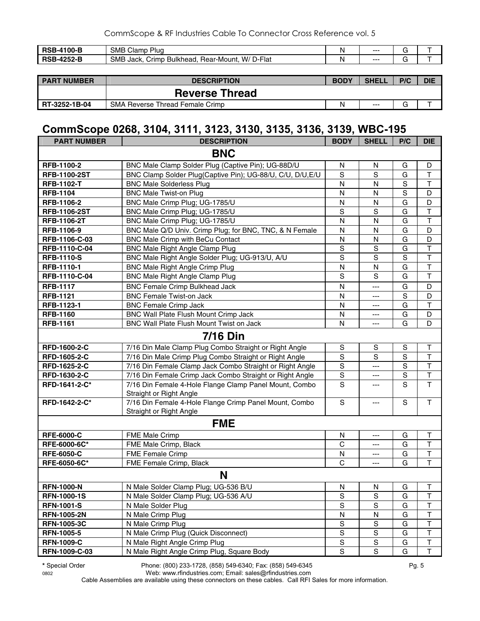| <b>DCD</b><br>100-B<br>nop | <b>SMB</b><br>ົ<br>Plua<br>Clamp                                               |    | $--$  | -<br>๛ |  |
|----------------------------|--------------------------------------------------------------------------------|----|-------|--------|--|
| <b>DCF</b><br>יטו          | D-Flat<br><b>SMB</b><br>W/<br><b>Bulkhead</b><br>:Hear-Mount<br>Jack.<br>rimrٽ | n. | $---$ | -<br>ີ |  |
|                            |                                                                                |    |       |        |  |

| <b>PART NUMBER</b> | <b>DESCRIPTION</b>                     | <b>BODY</b> | <b>SHELL</b> | P/C    | <b>DIE</b> |
|--------------------|----------------------------------------|-------------|--------------|--------|------------|
|                    | <b>Reverse Thread</b>                  |             |              |        |            |
| RT-3252-1B-04      | <b>SMA Reverse Thread Female Crimp</b> | N           | $---$        | ⌒<br>G |            |

#### **CommScope 0268, 3104, 3111, 3123, 3130, 3135, 3136, 3139, WBC-195**

| <b>PART NUMBER</b>  | <b>DESCRIPTION</b>                                                                | <b>BODY</b>             | <b>SHELL</b>  | P/C            | <b>DIE</b>              |
|---------------------|-----------------------------------------------------------------------------------|-------------------------|---------------|----------------|-------------------------|
|                     | <b>BNC</b>                                                                        |                         |               |                |                         |
| RFB-1100-2          | BNC Male Clamp Solder Plug (Captive Pin); UG-88D/U                                | N                       | N             | G              | D                       |
| <b>RFB-1100-2ST</b> | BNC Clamp Solder Plug(Captive Pin); UG-88/U, C/U, D/U, E/U                        | S                       | S             | G              | $\mathsf T$             |
| <b>RFB-1102-T</b>   | <b>BNC Male Solderless Plug</b>                                                   | $\mathsf{N}$            | $\mathsf{N}$  | S              | $\mathsf T$             |
| <b>RFB-1104</b>     | <b>BNC Male Twist-on Plug</b>                                                     | $\mathsf{N}$            | N             | $\overline{S}$ | D                       |
| RFB-1106-2          | BNC Male Crimp Plug; UG-1785/U                                                    | N                       | N             | G              | D                       |
| <b>RFB-1106-2ST</b> | BNC Male Crimp Plug; UG-1785/U                                                    | S                       | S             | G              | $\overline{\mathsf{T}}$ |
| RFB-1106-2T         | BNC Male Crimp Plug; UG-1785/U                                                    | ${\sf N}$               | $\mathsf{N}$  | G              | $\top$                  |
| RFB-1106-9          | BNC Male Q/D Univ. Crimp Plug; for BNC, TNC, & N Female                           | N                       | N             | G              | D                       |
| RFB-1106-C-03       | BNC Male Crimp with BeCu Contact                                                  | $\overline{\mathsf{N}}$ | N             | G              | D                       |
| RFB-1110-C-04       | <b>BNC Male Right Angle Clamp Plug</b>                                            | $\overline{s}$          | S             | G              | $\overline{\mathsf{T}}$ |
| <b>RFB-1110-S</b>   | BNC Male Right Angle Solder Plug; UG-913/U, A/U                                   | S                       | S             | $\mathsf S$    | $\top$                  |
| RFB-1110-1          | <b>BNC Male Right Angle Crimp Plug</b>                                            | N                       | N             | G              | $\mathsf T$             |
| RFB-1110-C-04       | <b>BNC Male Right Angle Clamp Plug</b>                                            | S                       | S             | G              | $\overline{\mathsf{T}}$ |
| <b>RFB-1117</b>     | <b>BNC Female Crimp Bulkhead Jack</b>                                             | $\mathsf{N}$            | ---           | G              | D                       |
| <b>RFB-1121</b>     | <b>BNC Female Twist-on Jack</b>                                                   | N                       | ---           | S              | D                       |
| RFB-1123-1          | <b>BNC Female Crimp Jack</b>                                                      | $\mathsf{N}$            | ---           | G              | $\mathsf T$             |
| <b>RFB-1160</b>     | BNC Wall Plate Flush Mount Crimp Jack                                             | N                       | ---           | G              | D                       |
| <b>RFB-1161</b>     | BNC Wall Plate Flush Mount Twist on Jack                                          | N                       | ---           | G              | D                       |
|                     | <b>7/16 Din</b>                                                                   |                         |               |                |                         |
| RFD-1600-2-C        | 7/16 Din Male Clamp Plug Combo Straight or Right Angle                            | ${\mathsf S}$           | S             | S              | $\mathsf T$             |
| RFD-1605-2-C        | 7/16 Din Male Crimp Plug Combo Straight or Right Angle                            | S                       | S             | $\overline{s}$ | $\overline{\mathsf{T}}$ |
| RFD-1625-2-C        | 7/16 Din Female Clamp Jack Combo Straight or Right Angle                          | S                       | ---           | $\overline{s}$ | $\overline{\mathsf{T}}$ |
| RFD-1630-2-C        | 7/16 Din Female Crimp Jack Combo Straight or Right Angle                          | S                       | $---$         | $\mathsf S$    | $\mathsf T$             |
| RFD-1641-2-C*       | 7/16 Din Female 4-Hole Flange Clamp Panel Mount, Combo<br>Straight or Right Angle | $\mathbf S$             | ---           | S              | $\mathsf{T}$            |
| RFD-1642-2-C*       | 7/16 Din Female 4-Hole Flange Crimp Panel Mount, Combo<br>Straight or Right Angle | $\mathbf S$             | ---           | S              | $\mathsf{T}$            |
|                     | <b>FME</b>                                                                        |                         |               |                |                         |
| <b>RFE-6000-C</b>   | FME Male Crimp                                                                    | N                       | ---           | G              | T                       |
| RFE-6000-6C*        | FME Male Crimp, Black                                                             | $\mathsf{C}$            | ---           | G              | $\mathsf{T}$            |
| <b>RFE-6050-C</b>   | FME Female Crimp                                                                  | N                       | ---           | G              | $\mathsf T$             |
| RFE-6050-6C*        | FME Female Crimp, Black                                                           | $\mathsf{C}$            | ---           | G              | $\mathsf{T}$            |
|                     | N                                                                                 |                         |               |                |                         |
| <b>RFN-1000-N</b>   | N Male Solder Clamp Plug; UG-536 B/U                                              | ${\sf N}$               | N             | G              | T                       |
| <b>RFN-1000-1S</b>  | N Male Solder Clamp Plug; UG-536 A/U                                              | S                       | $\mathbf S$   | G              | $\mathsf T$             |
| <b>RFN-1001-S</b>   | N Male Solder Plug                                                                | S                       | $\mathbf S$   | G              | $\top$                  |
| <b>RFN-1005-2N</b>  | N Male Crimp Plug                                                                 | N                       | N             | G              | $\mathsf T$             |
| <b>RFN-1005-3C</b>  | N Male Crimp Plug                                                                 | S                       | ${\mathsf S}$ | G              | $\sf T$                 |
| <b>RFN-1005-5</b>   | N Male Crimp Plug (Quick Disconnect)                                              | ${\mathsf S}$           | ${\mathsf S}$ | G              | $\sf T$                 |
| <b>RFN-1009-C</b>   | N Male Right Angle Crimp Plug                                                     | S                       | S             | G              | T                       |
| RFN-1009-C-03       | N Male Right Angle Crimp Plug, Square Body                                        | S                       | S             | G              | $\mathsf T$             |

**\*** Special Order Phone: (800) 233-1728, (858) 549-6340; Fax: (858) 549-6345 Pg. 5

Web: www.rfindustries.com; Email: sales@rfindustries.com Cable Assemblies are available using these connectors on these cables. Call RFI Sales for more information.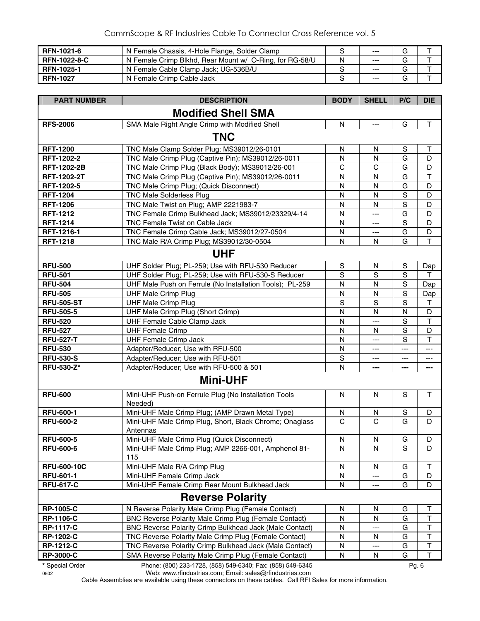| <b>RFN-1021-6</b>   | N Female Chassis, 4-Hole Flange, Solder Clamp           |   | $---$   | G |  |
|---------------------|---------------------------------------------------------|---|---------|---|--|
| <b>RFN-1022-8-C</b> | N Female Crimp Blkhd, Rear Mount w/ O-Ring, for RG-58/U | N | $- - -$ | G |  |
| <b>RFN-1025-1</b>   | N Female Cable Clamp Jack; UG-536B/U                    |   | $- - -$ |   |  |
| <b>RFN-1027</b>     | N Female Crimp Cable Jack                               |   | $- - -$ | G |  |

| <b>PART NUMBER</b>        | <b>DESCRIPTION</b>                                                  | <b>BODY</b>    | <b>SHELL</b>   | P/C                      | <b>DIE</b>     |  |  |
|---------------------------|---------------------------------------------------------------------|----------------|----------------|--------------------------|----------------|--|--|
| <b>Modified Shell SMA</b> |                                                                     |                |                |                          |                |  |  |
| <b>RFS-2006</b>           | SMA Male Right Angle Crimp with Modified Shell                      | $\mathsf{N}$   | $---$          | G                        | $\mathsf T$    |  |  |
|                           | <b>TNC</b>                                                          |                |                |                          |                |  |  |
| <b>RFT-1200</b>           | TNC Male Clamp Solder Plug; MS39012/26-0101                         | N              | N              | S                        | Т              |  |  |
| RFT-1202-2                | TNC Male Crimp Plug (Captive Pin); MS39012/26-0011                  | $\mathsf{N}$   | N              | G                        | D              |  |  |
| <b>RFT-1202-2B</b>        | TNC Male Crimp Plug (Black Body); MS39012/26-001                    | $\mathbf C$    | $\mathsf{C}$   | G                        | D              |  |  |
| <b>RFT-1202-2T</b>        | TNC Male Crimp Plug (Captive Pin); MS39012/26-0011                  | N              | N              | G                        | $\top$         |  |  |
| RFT-1202-5                | TNC Male Crimp Plug; (Quick Disconnect)                             | $\mathsf{N}$   | N              | G                        | D              |  |  |
| <b>RFT-1204</b>           | <b>TNC Male Solderless Plug</b>                                     | N              | N              | $\overline{s}$           | D              |  |  |
| <b>RFT-1206</b>           | TNC Male Twist on Plug; AMP 2221983-7                               | N              | N              | $\mathbf S$              | D              |  |  |
| <b>RFT-1212</b>           | TNC Female Crimp Bulkhead Jack; MS39012/23329/4-14                  | N              | ---            | G                        | D              |  |  |
| <b>RFT-1214</b>           | TNC Female Twist on Cable Jack                                      | N              | ---            | $\mathbf S$              | D              |  |  |
| RFT-1216-1                | TNC Female Crimp Cable Jack; MS39012/27-0504                        | N              | ---            | G                        | D              |  |  |
| <b>RFT-1218</b>           | TNC Male R/A Crimp Plug; MS39012/30-0504                            | $\mathsf{N}$   | N              | G                        | $\mathsf T$    |  |  |
|                           | <b>UHF</b>                                                          |                |                |                          |                |  |  |
| <b>RFU-500</b>            | UHF Solder Plug; PL-259; Use with RFU-530 Reducer                   | ${\sf S}$      | N              | $\mathbf S$              | Dap            |  |  |
| <b>RFU-501</b>            | UHF Solder Plug; PL-259; Use with RFU-530-S Reducer                 | S              | S              | $\mathbf S$              | Τ              |  |  |
| <b>RFU-504</b>            | UHF Male Push on Ferrule (No Installation Tools); PL-259            | N              | N              | $\mathbf S$              | Dap            |  |  |
| <b>RFU-505</b>            | <b>UHF Male Crimp Plug</b>                                          | $\mathsf{N}$   | N              | $\mathbf S$              | Dap            |  |  |
| <b>RFU-505-ST</b>         | <b>UHF Male Crimp Plug</b>                                          | S              | S              | $\mathbf S$              | $\top$         |  |  |
| <b>RFU-505-5</b>          | UHF Male Crimp Plug (Short Crimp)                                   | $\mathsf{N}$   | N              | ${\sf N}$                | D              |  |  |
| <b>RFU-520</b>            | UHF Female Cable Clamp Jack                                         | N              | ---            | $\mathbf S$              | $\mathsf T$    |  |  |
| <b>RFU-527</b>            | <b>UHF Female Crimp</b>                                             | $\mathsf{N}$   | N              | $\mathbf S$              | D              |  |  |
| <b>RFU-527-T</b>          | <b>UHF Female Crimp Jack</b>                                        | $\mathsf{N}$   | $---$          | S                        | T              |  |  |
| <b>RFU-530</b>            | Adapter/Reducer; Use with RFU-500                                   | $\mathsf{N}$   | ---            | $---$                    | $\cdots$       |  |  |
| <b>RFU-530-S</b>          | Adapter/Reducer; Use with RFU-501                                   | S              | ---            | $\overline{\phantom{a}}$ | ---            |  |  |
| <b>RFU-530-Z*</b>         | Adapter/Reducer; Use with RFU-500 & 501                             | $\mathsf{N}$   | ---            | ---                      | $\overline{a}$ |  |  |
|                           | <b>Mini-UHF</b>                                                     |                |                |                          |                |  |  |
| <b>RFU-600</b>            | Mini-UHF Push-on Ferrule Plug (No Installation Tools                | N              | N              | S                        | $\mathsf{T}$   |  |  |
|                           | Needed)                                                             |                |                |                          |                |  |  |
| <b>RFU-600-1</b>          | Mini-UHF Male Crimp Plug; (AMP Drawn Metal Type)                    | ${\sf N}$      | N              | $\mathbf S$              | D              |  |  |
| <b>RFU-600-2</b>          | Mini-UHF Male Crimp Plug, Short, Black Chrome; Onaglass<br>Antennas | $\overline{C}$ | $\overline{C}$ | G                        | D              |  |  |
| <b>RFU-600-5</b>          | Mini-UHF Male Crimp Plug (Quick Disconnect)                         | $\mathsf{N}$   | $\mathsf{N}$   | G                        | D              |  |  |
| <b>RFU-600-6</b>          | Mini-UHF Male Crimp Plug; AMP 2266-001, Amphenol 81-                | N              | N              | S                        | D              |  |  |
|                           | 115                                                                 |                |                |                          |                |  |  |
| <b>RFU-600-10C</b>        | Mini-UHF Male R/A Crimp Plug                                        | ${\sf N}$      | N              | G                        | $\top$         |  |  |
| <b>RFU-601-1</b>          | Mini-UHF Female Crimp Jack                                          | N              | ---            | G                        | D              |  |  |
| <b>RFU-617-C</b>          | Mini-UHF Female Crimp Rear Mount Bulkhead Jack                      | N              | ---            | G                        | D              |  |  |
|                           | <b>Reverse Polarity</b>                                             |                |                |                          |                |  |  |
| <b>RP-1005-C</b>          | N Reverse Polarity Male Crimp Plug (Female Contact)                 | N              | N              | G                        | Τ              |  |  |
| <b>RP-1106-C</b>          | BNC Reverse Polarity Male Crimp Plug (Female Contact)               | N              | N              | G                        | T              |  |  |
| <b>RP-1117-C</b>          | BNC Reverse Polarity Crimp Bulkhead Jack (Male Contact)             | N              | ---            | G                        | $\sf T$        |  |  |
| <b>RP-1202-C</b>          | TNC Reverse Polarity Male Crimp Plug (Female Contact)               | N              | N              | G                        | Τ              |  |  |
| <b>RP-1212-C</b>          | TNC Reverse Polarity Crimp Bulkhead Jack (Male Contact)             | N              | ---            | G                        | T              |  |  |
| <b>RP-3000-C</b>          | SMA Reverse Polarity Male Crimp Plug (Female Contact)               | N              | N              | G                        | $\top$         |  |  |

**\*** Special Order Phone: (800) 233-1728, (858) 549-6340; Fax: (858) 549-6345 Pg. 6

0802 Web: www.rfindustries.com; Email: sales@rfindustries.com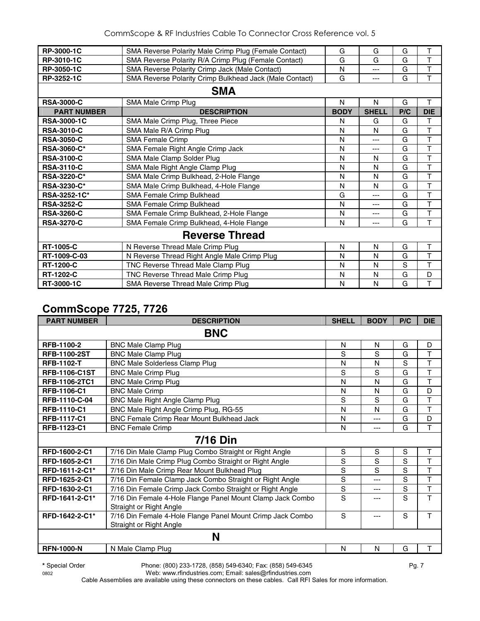| RP-3000-1C         | SMA Reverse Polarity Male Crimp Plug (Female Contact)   | G           | G            | G   | T              |  |  |  |
|--------------------|---------------------------------------------------------|-------------|--------------|-----|----------------|--|--|--|
| RP-3010-1C         | SMA Reverse Polarity R/A Crimp Plug (Female Contact)    | G           | G            | G   | T              |  |  |  |
| RP-3050-1C         | SMA Reverse Polarity Crimp Jack (Male Contact)          | N           | ---          | G   | T              |  |  |  |
| RP-3252-1C         | SMA Reverse Polarity Crimp Bulkhead Jack (Male Contact) | G           | ---          | G   | T              |  |  |  |
| <b>SMA</b>         |                                                         |             |              |     |                |  |  |  |
| <b>RSA-3000-C</b>  | SMA Male Crimp Plug                                     | N           | N            | G   | т              |  |  |  |
| <b>PART NUMBER</b> | <b>DESCRIPTION</b>                                      | <b>BODY</b> | <b>SHELL</b> | P/C | <b>DIE</b>     |  |  |  |
| <b>RSA-3000-1C</b> | SMA Male Crimp Plug, Three Piece                        | N           | G            | G   | T              |  |  |  |
| <b>RSA-3010-C</b>  | SMA Male R/A Crimp Plug                                 | N           | N            | G   | T              |  |  |  |
| <b>RSA-3050-C</b>  | <b>SMA Female Crimp</b>                                 | Ν           | ---          | G   | T              |  |  |  |
| <b>RSA-3060-C*</b> | SMA Female Right Angle Crimp Jack                       | N           | ---          | G   | T              |  |  |  |
| <b>RSA-3100-C</b>  | SMA Male Clamp Solder Plug                              | N           | N            | G   | T              |  |  |  |
| <b>RSA-3110-C</b>  | SMA Male Right Angle Clamp Plug                         | N           | N            | G   | $\overline{T}$ |  |  |  |
| RSA-3220-C*        | SMA Male Crimp Bulkhead, 2-Hole Flange                  | N           | N            | G   | T              |  |  |  |
| RSA-3230-C*        | SMA Male Crimp Bulkhead, 4-Hole Flange                  | N           | N            | G   | $\mathsf T$    |  |  |  |
| RSA-3252-1C*       | SMA Female Crimp Bulkhead                               | G           | ---          | G   | T              |  |  |  |
| <b>RSA-3252-C</b>  | SMA Female Crimp Bulkhead                               | N           | ---          | G   | T              |  |  |  |
| <b>RSA-3260-C</b>  | SMA Female Crimp Bulkhead, 2-Hole Flange                | N           | ---          | G   | T              |  |  |  |
| <b>RSA-3270-C</b>  | SMA Female Crimp Bulkhead, 4-Hole Flange                | N           | ---          | G   | T              |  |  |  |
|                    | <b>Reverse Thread</b>                                   |             |              |     |                |  |  |  |
| <b>RT-1005-C</b>   | N Reverse Thread Male Crimp Plug                        | N           | N            | G   | T              |  |  |  |
| RT-1009-C-03       | N Reverse Thread Right Angle Male Crimp Plug            | N           | N            | G   | T              |  |  |  |
| <b>RT-1200-C</b>   | TNC Reverse Thread Male Clamp Plug                      | N           | N            | S   | T              |  |  |  |
| <b>RT-1202-C</b>   | TNC Reverse Thread Male Crimp Plug                      | N           | N            | G   | D              |  |  |  |
| RT-3000-1C         | SMA Reverse Thread Male Crimp Plug                      | N           | N            | G   | T              |  |  |  |

## **CommScope 7725, 7726**

| <b>PART NUMBER</b>   | <b>DESCRIPTION</b>                                                                    | <b>SHELL</b> | <b>BODY</b> | P/C | <b>DIE</b> |
|----------------------|---------------------------------------------------------------------------------------|--------------|-------------|-----|------------|
|                      | <b>BNC</b>                                                                            |              |             |     |            |
| RFB-1100-2           | <b>BNC Male Clamp Plug</b>                                                            | N            | N           | G   | D          |
| <b>RFB-1100-2ST</b>  | <b>BNC Male Clamp Plug</b>                                                            | S            | S           | G   | Τ          |
| <b>RFB-1102-T</b>    | <b>BNC Male Solderless Clamp Plug</b>                                                 | N            | N           | S   | T          |
| <b>RFB-1106-C1ST</b> | <b>BNC Male Crimp Plug</b>                                                            | S            | S           | G   | T          |
| RFB-1106-2TC1        | <b>BNC Male Crimp Plug</b>                                                            | N            | N           | G   | T          |
| <b>RFB-1106-C1</b>   | <b>BNC Male Crimp</b>                                                                 | N            | N           | G   | D          |
| RFB-1110-C-04        | BNC Male Right Angle Clamp Plug                                                       | S            | S           | G   | T          |
| RFB-1110-C1          | BNC Male Right Angle Crimp Plug, RG-55                                                | N            | N           | G   | T          |
| <b>RFB-1117-C1</b>   | BNC Female Crimp Rear Mount Bulkhead Jack                                             | N            | ---         | G   | D          |
| RFB-1123-C1          | <b>BNC Female Crimp</b>                                                               | N            | ---         | G   | т          |
|                      | 7/16 Din                                                                              |              |             |     |            |
| RFD-1600-2-C1        | 7/16 Din Male Clamp Plug Combo Straight or Right Angle                                | $\mathbb S$  | S           | S   | Т          |
| RFD-1605-2-C1        | 7/16 Din Male Crimp Plug Combo Straight or Right Angle                                | S            | S           | S   | T          |
| RFD-1611-2-C1*       | 7/16 Din Male Crimp Rear Mount Bulkhead Plug                                          | S            | S           | S   | T          |
| RFD-1625-2-C1        | 7/16 Din Female Clamp Jack Combo Straight or Right Angle                              | S            | ---         | S   | T          |
| RFD-1630-2-C1        | 7/16 Din Female Crimp Jack Combo Straight or Right Angle                              | S            | ---         | S   | Τ          |
| RFD-1641-2-C1*       | 7/16 Din Female 4-Hole Flange Panel Mount Clamp Jack Combo<br>Straight or Right Angle | S            | ---         | S   | т          |
| RFD-1642-2-C1*       | 7/16 Din Female 4-Hole Flange Panel Mount Crimp Jack Combo<br>Straight or Right Angle | S            | ---         | S   | T          |
|                      | N                                                                                     |              |             |     |            |
| <b>RFN-1000-N</b>    | N Male Clamp Plug                                                                     | N            | N           | G   | T          |

**\*** Special Order Phone: (800) 233-1728, (858) 549-6340; Fax: (858) 549-6345 Pg. 7

0802 Web: www.rfindustries.com; Email: sales@rfindustries.com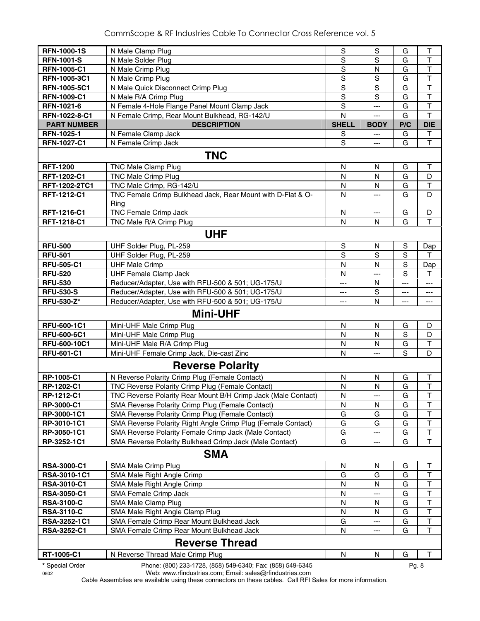| <b>RFN-1000-1S</b>          | N Male Clamp Plug                                                                      | S              | S              | G           | $\top$                  |
|-----------------------------|----------------------------------------------------------------------------------------|----------------|----------------|-------------|-------------------------|
| <b>RFN-1001-S</b>           | N Male Solder Plug                                                                     | $\mathsf S$    | S              | G           | $\top$                  |
| <b>RFN-1005-C1</b>          | N Male Crimp Plug                                                                      | S              | $\mathsf{N}$   | G           | $\overline{\mathsf{T}}$ |
| RFN-1005-3C1                | N Male Crimp Plug                                                                      | S              | S              | G           | T                       |
| RFN-1005-5C1                | N Male Quick Disconnect Crimp Plug                                                     | $\mathsf S$    | S              | G           | $\top$                  |
| RFN-1009-C1                 | N Male R/A Crimp Plug                                                                  | $\mathsf S$    | S              | G           | $\overline{\mathsf{T}}$ |
| RFN-1021-6                  | N Female 4-Hole Flange Panel Mount Clamp Jack                                          | S              | ---            | G           | $\top$                  |
| RFN-1022-8-C1               | N Female Crimp, Rear Mount Bulkhead, RG-142/U                                          | N              | ---            | G           | $\mathsf T$             |
| <b>PART NUMBER</b>          | <b>DESCRIPTION</b>                                                                     | <b>SHELL</b>   | <b>BODY</b>    | P/C         | <b>DIE</b>              |
| RFN-1025-1                  | N Female Clamp Jack                                                                    | S              | $\overline{a}$ | G           | т                       |
| <b>RFN-1027-C1</b>          | N Female Crimp Jack                                                                    | S              | ---            | G           | $\mathsf T$             |
|                             | <b>TNC</b>                                                                             |                |                |             |                         |
| <b>RFT-1200</b>             | TNC Male Clamp Plug                                                                    | N              | N              | G           | Τ                       |
| RFT-1202-C1                 | <b>TNC Male Crimp Plug</b>                                                             | N              | N              | G           | D                       |
| RFT-1202-2TC1               | TNC Male Crimp, RG-142/U                                                               | N              | N              | G           | T                       |
| RFT-1212-C1                 | TNC Female Crimp Bulkhead Jack, Rear Mount with D-Flat & O-                            | N              | ---            | G           | D                       |
|                             | Ring                                                                                   |                |                |             |                         |
| RFT-1216-C1                 | <b>TNC Female Crimp Jack</b>                                                           | N              | ---            | G           | D                       |
| RFT-1218-C1                 | TNC Male R/A Crimp Plug                                                                | N              | N              | G           | Т                       |
|                             | <b>UHF</b>                                                                             |                |                |             |                         |
| <b>RFU-500</b>              |                                                                                        | ${\mathsf S}$  |                | $\mathbf S$ |                         |
| <b>RFU-501</b>              | UHF Solder Plug, PL-259<br>UHF Solder Plug, PL-259                                     | $\overline{s}$ | N<br>S         | S           | Dap<br>T                |
| <b>RFU-505-C1</b>           |                                                                                        | $\mathsf{N}$   | N              | S           |                         |
| <b>RFU-520</b>              | <b>UHF Male Crimp</b>                                                                  |                |                | S           | Dap                     |
| <b>RFU-530</b>              | <b>UHF Female Clamp Jack</b><br>Reducer/Adapter, Use with RFU-500 & 501; UG-175/U      | N              | ---<br>N       | $---$       | т                       |
| <b>RFU-530-S</b>            | Reducer/Adapter, Use with RFU-500 & 501; UG-175/U                                      | ---<br>$---$   | S              | ---         | ---                     |
| <b>RFU-530-Z*</b>           | Reducer/Adapter, Use with RFU-500 & 501; UG-175/U                                      | ---            | N              | ---         | $---$                   |
|                             |                                                                                        |                |                |             | ---                     |
|                             | <b>Mini-UHF</b>                                                                        |                |                |             |                         |
| RFU-600-1C1                 | Mini-UHF Male Crimp Plug                                                               | N              | N              | G           | D                       |
| <b>RFU-600-6C1</b>          | Mini-UHF Male Crimp Plug                                                               | $\mathsf{N}$   | N              | S           | D                       |
| RFU-600-10C1                | Mini-UHF Male R/A Crimp Plug                                                           | N              | N              | G           | Т                       |
| <b>RFU-601-C1</b>           | Mini-UHF Female Crimp Jack, Die-cast Zinc                                              | $\mathsf{N}$   | $\overline{a}$ | S           | D                       |
|                             | <b>Reverse Polarity</b>                                                                |                |                |             |                         |
| RP-1005-C1                  | N Reverse Polarity Crimp Plug (Female Contact)                                         | $\mathsf{N}$   | N              | G           | Т                       |
| RP-1202-C1                  | TNC Reverse Polarity Crimp Plug (Female Contact)                                       | $\mathsf{N}$   | N              | G           | $\overline{\mathsf{T}}$ |
| RP-1212-C1                  | TNC Reverse Polarity Rear Mount B/H Crimp Jack (Male Contact)                          | ${\sf N}$      |                | G           | $\top$                  |
| <b>RP-3000-C1</b>           | SMA Reverse Polarity Crimp Plug (Female Contact)                                       | N              | N              | G           | Т                       |
| RP-3000-1C1                 | SMA Reverse Polarity Crimp Plug (Female Contact)                                       | G              | G              | G           | T                       |
| RP-3010-1C1                 | SMA Reverse Polarity Right Angle Crimp Plug (Female Contact)                           | G              | G              | G           | $\top$                  |
| RP-3050-1C1                 | SMA Reverse Polarity Female Crimp Jack (Male Contact)                                  | G              | ---            | G           | T                       |
| RP-3252-1C1                 | SMA Reverse Polarity Bulkhead Crimp Jack (Male Contact)                                | G              | ---            | G           | $\mathsf T$             |
|                             | <b>SMA</b>                                                                             |                |                |             |                         |
|                             |                                                                                        |                |                |             |                         |
| <b>RSA-3000-C1</b>          | SMA Male Crimp Plug                                                                    | N              | N              | G           | Т                       |
| RSA-3010-1C1                | SMA Male Right Angle Crimp                                                             | G              | G              | G           | Т                       |
| <b>RSA-3010-C1</b>          | SMA Male Right Angle Crimp                                                             | N              | N              | G           | $\top$<br>$\mathsf T$   |
| <b>RSA-3050-C1</b>          | SMA Female Crimp Jack                                                                  | N              |                | G<br>G      | $\top$                  |
| <b>RSA-3100-C</b>           | SMA Male Clamp Plug                                                                    | N              | N              |             | $\mathsf T$             |
| <b>RSA-3110-C</b>           | SMA Male Right Angle Clamp Plug                                                        | N              | N              | G           | $\top$                  |
| RSA-3252-1C1<br>RSA-3252-C1 | SMA Female Crimp Rear Mount Bulkhead Jack<br>SMA Female Crimp Rear Mount Bulkhead Jack | G<br>N         |                | G<br>G      | $\mathsf T$             |
|                             |                                                                                        |                | ---            |             |                         |
|                             | <b>Reverse Thread</b>                                                                  |                |                |             |                         |
| RT-1005-C1                  | N Reverse Thread Male Crimp Plug                                                       | N              | N              | G           | $\mathsf T$             |
| * Special Order             | Phone: (800) 233-1728, (858) 549-6340; Fax: (858) 549-6345                             |                |                | Pg. 8       |                         |

0802 Web: www.rfindustries.com; Email: sales@rfindustries.com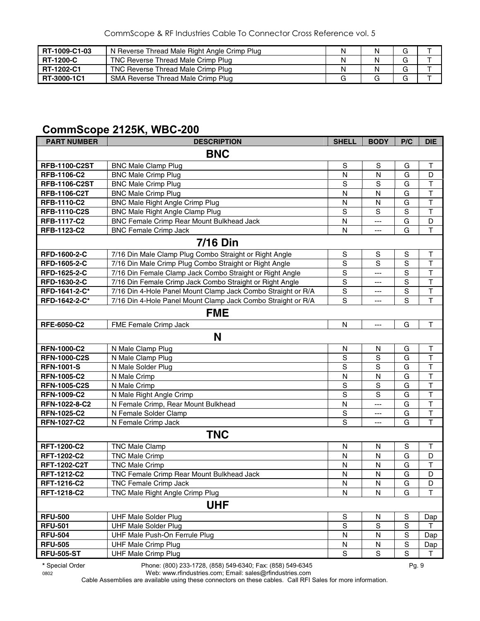| RT-1009-C1-03    | N Reverse Thread Male Right Angle Crimp Plug |  | G |  |
|------------------|----------------------------------------------|--|---|--|
| <b>RT-1200-C</b> | TNC Reverse Thread Male Crimp Plug           |  | G |  |
| RT-1202-C1       | TNC Reverse Thread Male Crimp Plug           |  | G |  |
| RT-3000-1C1      | SMA Reverse Thread Male Crimp Plug           |  | G |  |

#### **CommScope 2125K, WBC-200**

| <b>PART NUMBER</b>   | <b>DESCRIPTION</b>                                           | <b>SHELL</b>            | <b>BODY</b> | P/C           | <b>DIE</b>              |  |  |  |
|----------------------|--------------------------------------------------------------|-------------------------|-------------|---------------|-------------------------|--|--|--|
| <b>BNC</b>           |                                                              |                         |             |               |                         |  |  |  |
| <b>RFB-1100-C2ST</b> | <b>BNC Male Clamp Plug</b>                                   | S                       | $\mathsf S$ | G             | $\top$                  |  |  |  |
| RFB-1106-C2          | <b>BNC Male Crimp Plug</b>                                   | N                       | N           | G             | D                       |  |  |  |
| <b>RFB-1106-C2ST</b> | <b>BNC Male Crimp Plug</b>                                   | S                       | $\mathbf S$ | G             | T                       |  |  |  |
| <b>RFB-1106-C2T</b>  | <b>BNC Male Crimp Plug</b>                                   | N                       | N           | G             | $\top$                  |  |  |  |
| <b>RFB-1110-C2</b>   | <b>BNC Male Right Angle Crimp Plug</b>                       | N                       | N           | G             | $\mathsf T$             |  |  |  |
| <b>RFB-1110-C2S</b>  | <b>BNC Male Right Angle Clamp Plug</b>                       | $\mathsf S$             | $\mathbf S$ | $\mathbf S$   | T                       |  |  |  |
| <b>RFB-1117-C2</b>   | <b>BNC Female Crimp Rear Mount Bulkhead Jack</b>             | N                       | ---         | G             | D                       |  |  |  |
| <b>RFB-1123-C2</b>   | <b>BNC Female Crimp Jack</b>                                 | N                       | ---         | G             | $\overline{\mathsf{T}}$ |  |  |  |
|                      | <b>7/16 Din</b>                                              |                         |             |               |                         |  |  |  |
| RFD-1600-2-C         | 7/16 Din Male Clamp Plug Combo Straight or Right Angle       | S                       | S           | S             | Т                       |  |  |  |
| RFD-1605-2-C         | 7/16 Din Male Crimp Plug Combo Straight or Right Angle       | $\mathbb S$             | S           | $\mathbf S$   | $\top$                  |  |  |  |
| RFD-1625-2-C         | 7/16 Din Female Clamp Jack Combo Straight or Right Angle     | ${\mathsf S}$           | ---         | S             | $\mathsf T$             |  |  |  |
| RFD-1630-2-C         | 7/16 Din Female Crimp Jack Combo Straight or Right Angle     | $\mathbb S$             | ---         | S             | $\overline{\mathsf{T}}$ |  |  |  |
| RFD-1641-2-C*        | 7/16 Din 4-Hole Panel Mount Clamp Jack Combo Straight or R/A | $\overline{s}$          | ---         | S             | $\overline{\mathsf{T}}$ |  |  |  |
| RFD-1642-2-C*        | 7/16 Din 4-Hole Panel Mount Clamp Jack Combo Straight or R/A | S                       | ---         | $\mathbf S$   | $\mathsf{T}$            |  |  |  |
|                      | <b>FME</b>                                                   |                         |             |               |                         |  |  |  |
| <b>RFE-6050-C2</b>   | FME Female Crimp Jack                                        | N                       | ---         | G             | $\top$                  |  |  |  |
|                      | N                                                            |                         |             |               |                         |  |  |  |
| <b>RFN-1000-C2</b>   | N Male Clamp Plug                                            | N                       | N           | G             | T                       |  |  |  |
| <b>RFN-1000-C2S</b>  | N Male Clamp Plug                                            | S                       | $\mathbf S$ | G             | $\sf T$                 |  |  |  |
| <b>RFN-1001-S</b>    | N Male Solder Plug                                           | S                       | $\mathbf S$ | G             | $\overline{\mathsf{T}}$ |  |  |  |
| <b>RFN-1005-C2</b>   | N Male Crimp                                                 | N                       | N           | G             | $\overline{\mathsf{T}}$ |  |  |  |
| <b>RFN-1005-C2S</b>  | N Male Crimp                                                 | $\mathsf S$             | $\mathbb S$ | G             | $\overline{\mathsf{T}}$ |  |  |  |
| <b>RFN-1009-C2</b>   | N Male Right Angle Crimp                                     | S                       | S           | G             | $\overline{\mathsf{T}}$ |  |  |  |
| RFN-1022-8-C2        | N Female Crimp, Rear Mount Bulkhead                          | $\mathsf{N}$            | ---         | G             | $\overline{\mathsf{T}}$ |  |  |  |
| <b>RFN-1025-C2</b>   | N Female Solder Clamp                                        | $\mathsf S$             | ---         | G             | $\top$                  |  |  |  |
| <b>RFN-1027-C2</b>   | N Female Crimp Jack                                          | $\overline{s}$          | ---         | G             | T                       |  |  |  |
|                      | <b>TNC</b>                                                   |                         |             |               |                         |  |  |  |
| <b>RFT-1200-C2</b>   | <b>TNC Male Clamp</b>                                        | N                       | N           | ${\sf S}$     | T                       |  |  |  |
| RFT-1202-C2          | <b>TNC Male Crimp</b>                                        | N                       | N           | G             | D                       |  |  |  |
| <b>RFT-1202-C2T</b>  | <b>TNC Male Crimp</b>                                        | N                       | N           | G             | $\top$                  |  |  |  |
| RFT-1212-C2          | TNC Female Crimp Rear Mount Bulkhead Jack                    | $\overline{\mathsf{N}}$ | N           | G             | D                       |  |  |  |
| RFT-1216-C2          | TNC Female Crimp Jack                                        | $\mathsf{N}$            | N           | G             | D                       |  |  |  |
| RFT-1218-C2          | TNC Male Right Angle Crimp Plug                              | ${\sf N}$               | N           | G             | Т                       |  |  |  |
|                      | <b>UHF</b>                                                   |                         |             |               |                         |  |  |  |
| <b>RFU-500</b>       | <b>UHF Male Solder Plug</b>                                  | S                       | N           | S             | Dap                     |  |  |  |
| <b>RFU-501</b>       | <b>UHF Male Solder Plug</b>                                  | $\overline{s}$          | $\mathbf S$ | ${\mathsf S}$ | т                       |  |  |  |
| <b>RFU-504</b>       | UHF Male Push-On Ferrule Plug                                | $\mathsf{N}$            | N           | $\mathbf S$   | Dap                     |  |  |  |
| <b>RFU-505</b>       | <b>UHF Male Crimp Plug</b>                                   | ${\sf N}$               | N           | $\mathbf S$   | Dap                     |  |  |  |
| <b>RFU-505-ST</b>    | <b>UHF Male Crimp Plug</b>                                   | $\mathbf S$             | S           | $\mathbf S$   | Т                       |  |  |  |
|                      |                                                              |                         |             |               |                         |  |  |  |

**\*** Special Order Phone: (800) 233-1728, (858) 549-6340; Fax: (858) 549-6345 Pg. 9

0802 Web: www.rfindustries.com; Email: sales@rfindustries.com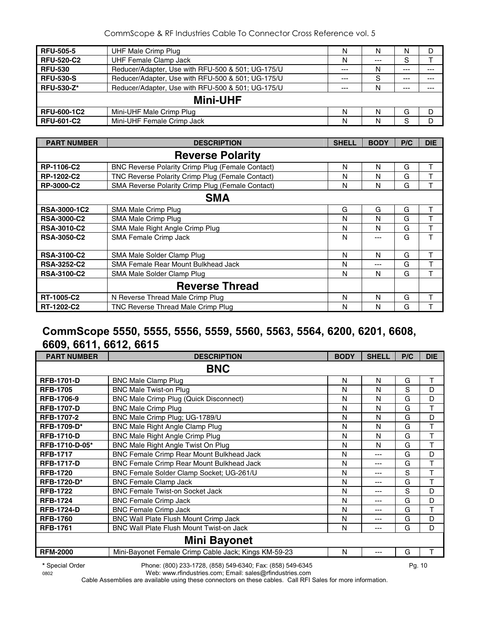| <b>RFU-505-5</b>   | UHF Male Crimp Plug                               | N     | N       | N     | D       |  |  |  |  |
|--------------------|---------------------------------------------------|-------|---------|-------|---------|--|--|--|--|
| <b>RFU-520-C2</b>  | <b>UHF Female Clamp Jack</b>                      | N     | $- - -$ | S     |         |  |  |  |  |
| <b>RFU-530</b>     | Reducer/Adapter, Use with RFU-500 & 501; UG-175/U | $---$ | N       | $---$ | $---$   |  |  |  |  |
| <b>RFU-530-S</b>   | Reducer/Adapter, Use with RFU-500 & 501; UG-175/U | $---$ | S       | $---$ | $---$   |  |  |  |  |
| <b>RFU-530-Z*</b>  | Reducer/Adapter, Use with RFU-500 & 501; UG-175/U | $---$ | N       | $---$ | $- - -$ |  |  |  |  |
|                    | <b>Mini-UHF</b>                                   |       |         |       |         |  |  |  |  |
| <b>RFU-600-1C2</b> | Mini-UHF Male Crimp Plug                          | N     | N       | G     | D       |  |  |  |  |
| <b>RFU-601-C2</b>  | Mini-UHF Female Crimp Jack                        | N     | N       | S     |         |  |  |  |  |

| <b>PART NUMBER</b>  | <b>DESCRIPTION</b>                                      | <b>SHELL</b> | <b>BODY</b> | P/C | <b>DIE</b> |
|---------------------|---------------------------------------------------------|--------------|-------------|-----|------------|
|                     | <b>Reverse Polarity</b>                                 |              |             |     |            |
| RP-1106-C2          | <b>BNC Reverse Polarity Crimp Plug (Female Contact)</b> | N            | N           | G   |            |
| RP-1202-C2          | TNC Reverse Polarity Crimp Plug (Female Contact)        | N            | N           | G   | т          |
| <b>RP-3000-C2</b>   | SMA Reverse Polarity Crimp Plug (Female Contact)        | N            | N           | G   | т          |
|                     | <b>SMA</b>                                              |              |             |     |            |
| <b>RSA-3000-1C2</b> | <b>SMA Male Crimp Plug</b>                              | G            | G           | G   | т          |
| <b>RSA-3000-C2</b>  | SMA Male Crimp Plug                                     | N            | N           | G   |            |
| <b>RSA-3010-C2</b>  | SMA Male Right Angle Crimp Plug                         | N            | N           | G   |            |
| <b>RSA-3050-C2</b>  | SMA Female Crimp Jack                                   | N            | ---         | G   | т          |
| <b>RSA-3100-C2</b>  | SMA Male Solder Clamp Plug                              | N            | N           | G   | т          |
| <b>RSA-3252-C2</b>  | SMA Female Rear Mount Bulkhead Jack                     | N            | ---         | G   |            |
| <b>RSA-3100-C2</b>  | SMA Male Solder Clamp Plug                              | N            | N           | G   |            |
|                     | <b>Reverse Thread</b>                                   |              |             |     |            |
| RT-1005-C2          | N Reverse Thread Male Crimp Plug                        | N            | N           | G   |            |
| RT-1202-C2          | TNC Reverse Thread Male Crimp Plug                      | N            | N           | G   |            |

## **CommScope 5550, 5555, 5556, 5559, 5560, 5563, 5564, 6200, 6201, 6608, 6609, 6611, 6612, 6615**

| <b>PART NUMBER</b> | <b>DESCRIPTION</b>                                   | <b>BODY</b> | <b>SHELL</b> | P/C | <b>DIE</b>   |  |  |  |  |
|--------------------|------------------------------------------------------|-------------|--------------|-----|--------------|--|--|--|--|
|                    | <b>BNC</b>                                           |             |              |     |              |  |  |  |  |
| <b>RFB-1701-D</b>  | <b>BNC Male Clamp Plug</b>                           | N           | N            | G   | Τ            |  |  |  |  |
| <b>RFB-1705</b>    | <b>BNC Male Twist-on Plug</b>                        | N           | N            | S   | D            |  |  |  |  |
| <b>RFB-1706-9</b>  | BNC Male Crimp Plug (Quick Disconnect)               | N           | N            | G   | D            |  |  |  |  |
| <b>RFB-1707-D</b>  | <b>BNC Male Crimp Plug</b>                           | N           | N            | G   | $\mathsf{T}$ |  |  |  |  |
| RFB-1707-2         | BNC Male Crimp Plug; UG-1789/U                       | N           | N            | G   | D            |  |  |  |  |
| <b>RFB-1709-D*</b> | <b>BNC Male Right Angle Clamp Plug</b>               | N           | N            | G   | T            |  |  |  |  |
| <b>RFB-1710-D</b>  | BNC Male Right Angle Crimp Plug                      | N           | N            | G   | T            |  |  |  |  |
| RFB-1710-D-05*     | BNC Male Right Angle Twist On Plug                   | N           | N            | G   | Т            |  |  |  |  |
| <b>RFB-1717</b>    | BNC Female Crimp Rear Mount Bulkhead Jack            | N           | ---          | G   | D            |  |  |  |  |
| <b>RFB-1717-D</b>  | BNC Female Crimp Rear Mount Bulkhead Jack            | N           | ---          | G   | T            |  |  |  |  |
| <b>RFB-1720</b>    | BNC Female Solder Clamp Socket; UG-261/U             | N           | ---          | S   | T            |  |  |  |  |
| <b>RFB-1720-D*</b> | <b>BNC Female Clamp Jack</b>                         | N           | ---          | G   | T            |  |  |  |  |
| <b>RFB-1722</b>    | <b>BNC Female Twist-on Socket Jack</b>               | N           |              | S   | D            |  |  |  |  |
| <b>RFB-1724</b>    | <b>BNC Female Crimp Jack</b>                         | N           | ---          | G   | D            |  |  |  |  |
| <b>RFB-1724-D</b>  | <b>BNC Female Crimp Jack</b>                         | N           | ---          | G   | T            |  |  |  |  |
| <b>RFB-1760</b>    | BNC Wall Plate Flush Mount Crimp Jack                | N           | ---          | G   | D            |  |  |  |  |
| <b>RFB-1761</b>    | <b>BNC Wall Plate Flush Mount Twist-on Jack</b>      | N           | ---          | G   | D            |  |  |  |  |
|                    |                                                      |             |              |     |              |  |  |  |  |
| <b>RFM-2000</b>    | Mini-Bayonet Female Crimp Cable Jack; Kings KM-59-23 | N           | ---          | G   |              |  |  |  |  |

**\*** Special Order Phone: (800) 233-1728, (858) 549-6340; Fax: (858) 549-6345 Pg. 10 0802 Web: www.rfindustries.com; Email: sales@rfindustries.com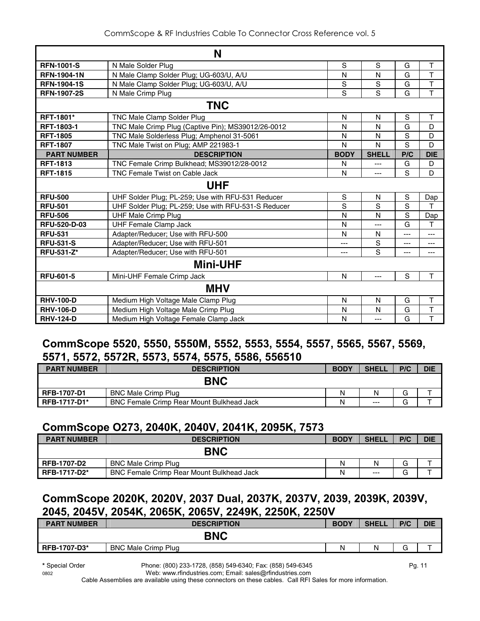|                    | N                                                   |             |              |                |            |
|--------------------|-----------------------------------------------------|-------------|--------------|----------------|------------|
| <b>RFN-1001-S</b>  | N Male Solder Plug                                  | S           | S            | G              | T          |
| <b>RFN-1904-1N</b> | N Male Clamp Solder Plug; UG-603/U, A/U             | N           | N            | G              | T          |
| <b>RFN-1904-1S</b> | N Male Clamp Solder Plug; UG-603/U, A/U             | $\mathbf S$ | S            | G              | T          |
| <b>RFN-1907-2S</b> | N Male Crimp Plug                                   | S           | S            | G              | T          |
|                    | <b>TNC</b>                                          |             |              |                |            |
| <b>RFT-1801*</b>   | TNC Male Clamp Solder Plug                          | N           | N            | S              | Τ          |
| <b>RFT-1803-1</b>  | TNC Male Crimp Plug (Captive Pin); MS39012/26-0012  | N           | N            | G              | D          |
| <b>RFT-1805</b>    | TNC Male Solderless Plug; Amphenol 31-5061          | N           | N            | $\mathbf S$    | D          |
| <b>RFT-1807</b>    | TNC Male Twist on Plug; AMP 221983-1                | N           | N            | S              | D          |
| <b>PART NUMBER</b> | <b>DESCRIPTION</b>                                  | <b>BODY</b> | <b>SHELL</b> | P/C            | <b>DIE</b> |
| <b>RFT-1813</b>    | TNC Female Crimp Bulkhead; MS39012/28-0012          | N           | ---          | G              | D          |
| <b>RFT-1815</b>    | <b>TNC Female Twist on Cable Jack</b>               | N           | ---          | S              | D          |
|                    | <b>UHF</b>                                          |             |              |                |            |
| <b>RFU-500</b>     | UHF Solder Plug; PL-259; Use with RFU-531 Reducer   | $\mathbf S$ | N            | $\mathbf S$    | Dap        |
| <b>RFU-501</b>     | UHF Solder Plug; PL-259; Use with RFU-531-S Reducer | S           | S            | S              | т          |
| <b>RFU-506</b>     | <b>UHF Male Crimp Plug</b>                          | N           | N            | S              | Dap        |
| RFU-520-D-03       | <b>UHF Female Clamp Jack</b>                        | N           | $---$        | G              | т          |
| <b>RFU-531</b>     | Adapter/Reducer; Use with RFU-500                   | N           | N            | $\overline{a}$ | $---$      |
| <b>RFU-531-S</b>   | Adapter/Reducer; Use with RFU-501                   | ---         | S            | ---            | $---$      |
| RFU-531-Z*         | Adapter/Reducer; Use with RFU-501                   | ---         | S            | ---            | ---        |
|                    | <b>Mini-UHF</b>                                     |             |              |                |            |
| <b>RFU-601-5</b>   | Mini-UHF Female Crimp Jack                          | N           | $---$        | S              | T          |
|                    | <b>MHV</b>                                          |             |              |                |            |
| <b>RHV-100-D</b>   | Medium High Voltage Male Clamp Plug                 | N           | N            | G              | T          |
| <b>RHV-106-D</b>   | Medium High Voltage Male Crimp Plug                 | N           | N            | G              | T          |
| <b>RHV-124-D</b>   | Medium High Voltage Female Clamp Jack               | N           | $---$        | G              | T          |

## **CommScope 5520, 5550, 5550M, 5552, 5553, 5554, 5557, 5565, 5567, 5569, 5571, 5572, 5572R, 5573, 5574, 5575, 5586, 556510**

| <b>PART NUMBER</b>  | <b>DESCRIPTION</b>                               | <b>BODY</b> | <b>SHELL</b> | P/C    | <b>DIE</b> |
|---------------------|--------------------------------------------------|-------------|--------------|--------|------------|
|                     | <b>BNC</b>                                       |             |              |        |            |
| <b>RFB-1707-D1</b>  | <b>BNC Male Crimp Plug</b>                       | N           |              | G      |            |
| <b>RFB-1717-D1*</b> | <b>BNC Female Crimp Rear Mount Bulkhead Jack</b> | N           | $---$        | ⌒<br>G |            |

## **CommScope O273, 2040K, 2040V, 2041K, 2095K, 7573**

| <b>PART NUMBER</b>  | <b>DESCRIPTION</b>                               | <b>BODY</b> | <b>SHELL</b> | P/C | <b>DIE</b> |
|---------------------|--------------------------------------------------|-------------|--------------|-----|------------|
|                     | <b>BNC</b>                                       |             |              |     |            |
| <b>RFB-1707-D2</b>  | <b>BNC Male Crimp Plug</b>                       | N           | N            | G   |            |
| <b>RFB-1717-D2*</b> | <b>BNC Female Crimp Rear Mount Bulkhead Jack</b> | Ν           | $---$        | G   |            |

## **CommScope 2020K, 2020V, 2037 Dual, 2037K, 2037V, 2039, 2039K, 2039V, 2045, 2045V, 2054K, 2065K, 2065V, 2249K, 2250K, 2250V**

| <b>PART NUMBER</b>  | <b>DESCRIPTION</b>         | <b>BODY</b> | <b>SHELL</b> | P/C    | <b>DIE</b> |
|---------------------|----------------------------|-------------|--------------|--------|------------|
|                     | <b>BNC</b>                 |             |              |        |            |
| <b>RFB-1707-D3*</b> | <b>BNC Male Crimp Plug</b> | N           | N            | ⌒<br>G |            |
|                     |                            |             |              |        |            |

**\*** Special Order Phone: (800) 233-1728, (858) 549-6340; Fax: (858) 549-6345 Pg. 11

0802 Web: www.rfindustries.com; Email: sales@rfindustries.com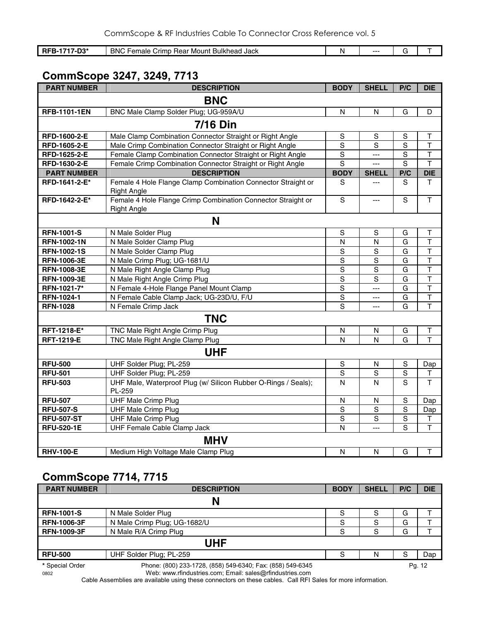| <b>RFB-1717-D3*</b> | <b>BNC Ft</b><br>Crimp Rear Mount Bulkhead Jack<br>Female | N | --- |  |
|---------------------|-----------------------------------------------------------|---|-----|--|

## **CommScope 3247, 3249, 7713**

| <b>PART NUMBER</b>  | <b>DESCRIPTION</b>                                                                 | <b>BODY</b>             | <b>SHELL</b>   | P/C           | <b>DIE</b>              |  |  |  |
|---------------------|------------------------------------------------------------------------------------|-------------------------|----------------|---------------|-------------------------|--|--|--|
| <b>BNC</b>          |                                                                                    |                         |                |               |                         |  |  |  |
| <b>RFB-1101-1EN</b> | BNC Male Clamp Solder Plug; UG-959A/U                                              | N                       | N              | G             | D                       |  |  |  |
|                     | <b>7/16 Din</b>                                                                    |                         |                |               |                         |  |  |  |
| RFD-1600-2-E        | Male Clamp Combination Connector Straight or Right Angle                           | S                       | S              | $\mathbf S$   | T                       |  |  |  |
| RFD-1605-2-E        | Male Crimp Combination Connector Straight or Right Angle                           | $\mathbf S$             | $\mathbf S$    | $\mathbf S$   | $\mathsf T$             |  |  |  |
| RFD-1625-2-E        | Female Clamp Combination Connector Straight or Right Angle                         | $\mathbf S$             | ---            | ${\mathsf S}$ | T                       |  |  |  |
| RFD-1630-2-E        | Female Crimp Combination Connector Straight or Right Angle                         | $\overline{s}$          | $---$          | S             | $\overline{\mathsf{T}}$ |  |  |  |
| <b>PART NUMBER</b>  | <b>DESCRIPTION</b>                                                                 | <b>BODY</b>             | <b>SHELL</b>   | P/C           | <b>DIE</b>              |  |  |  |
| RFD-1641-2-E*       | Female 4 Hole Flange Clamp Combination Connector Straight or<br><b>Right Angle</b> | S                       | $---$          | S             | т                       |  |  |  |
| RFD-1642-2-E*       | Female 4 Hole Flange Crimp Combination Connector Straight or<br><b>Right Angle</b> | $\mathbf S$             | $\overline{a}$ | S             | $\mathsf{T}$            |  |  |  |
|                     | N                                                                                  |                         |                |               |                         |  |  |  |
| <b>RFN-1001-S</b>   | N Male Solder Plug                                                                 | $\mathbf S$             | $\mathsf S$    | G             | T                       |  |  |  |
| <b>RFN-1002-1N</b>  | N Male Solder Clamp Plug                                                           | $\overline{N}$          | N              | G             | $\overline{\mathsf{T}}$ |  |  |  |
| <b>RFN-1002-1S</b>  | N Male Solder Clamp Plug                                                           | S                       | S              | G             | T                       |  |  |  |
| <b>RFN-1006-3E</b>  | N Male Crimp Plug; UG-1681/U                                                       | $\mathbf S$             | S              | G             | $\overline{\mathsf{T}}$ |  |  |  |
| <b>RFN-1008-3E</b>  | N Male Right Angle Clamp Plug                                                      | $\mathbf S$             | S              | G             | $\overline{\mathsf{T}}$ |  |  |  |
| <b>RFN-1009-3E</b>  | N Male Right Angle Crimp Plug                                                      | $\mathbf S$             | S              | G             | $\mathsf T$             |  |  |  |
| RFN-1021-7*         | N Female 4-Hole Flange Panel Mount Clamp                                           | $\overline{S}$          | ---            | G             | $\overline{\mathsf{T}}$ |  |  |  |
| RFN-1024-1          | N Female Cable Clamp Jack; UG-23D/U, F/U                                           | $\overline{\mathbf{s}}$ | ---            | G             | $\overline{T}$          |  |  |  |
| <b>RFN-1028</b>     | N Female Crimp Jack                                                                | S                       | $-$ --         | G             | $\overline{\mathsf{T}}$ |  |  |  |
|                     | <b>TNC</b>                                                                         |                         |                |               |                         |  |  |  |
| RFT-1218-E*         | TNC Male Right Angle Crimp Plug                                                    | N                       | N              | G             | T                       |  |  |  |
| <b>RFT-1219-E</b>   | TNC Male Right Angle Clamp Plug                                                    | N                       | $\mathsf{N}$   | G             | $\mathsf T$             |  |  |  |
|                     | <b>UHF</b>                                                                         |                         |                |               |                         |  |  |  |
| <b>RFU-500</b>      | UHF Solder Plug; PL-259                                                            | S                       | N              | $\mathbb S$   | Dap                     |  |  |  |
| <b>RFU-501</b>      | UHF Solder Plug; PL-259                                                            | S                       | S              | $\mathbf S$   | $\top$                  |  |  |  |
| <b>RFU-503</b>      | UHF Male, Waterproof Plug (w/ Silicon Rubber O-Rings / Seals);<br>PL-259           | N                       | N              | S             | T                       |  |  |  |
| <b>RFU-507</b>      | <b>UHF Male Crimp Plug</b>                                                         | N                       | N              | S             | Dap                     |  |  |  |
| <b>RFU-507-S</b>    | <b>UHF Male Crimp Plug</b>                                                         | $\mathbf S$             | $\mathbf S$    | $\mathsf S$   | Dap                     |  |  |  |
| <b>RFU-507-ST</b>   | <b>UHF Male Crimp Plug</b>                                                         | $\mathbf S$             | S              | $\mathbf S$   | Τ                       |  |  |  |
| <b>RFU-520-1E</b>   | UHF Female Cable Clamp Jack                                                        | $\mathsf{N}$            | ---            | S             | $\mathsf T$             |  |  |  |
|                     | <b>MHV</b>                                                                         |                         |                |               |                         |  |  |  |
| <b>RHV-100-E</b>    | Medium High Voltage Male Clamp Plug                                                | ${\sf N}$               | $\mathsf{N}$   | G             | T                       |  |  |  |

## **CommScope 7714, 7715**

| <b>PART NUMBER</b> | <b>DESCRIPTION</b>                                         | <b>BODY</b> | <b>SHELL</b> | P/C | <b>DIE</b> |
|--------------------|------------------------------------------------------------|-------------|--------------|-----|------------|
|                    | N                                                          |             |              |     |            |
| <b>RFN-1001-S</b>  | N Male Solder Plug                                         | S           | S            | G   |            |
| <b>RFN-1006-3F</b> | N Male Crimp Plug; UG-1682/U                               | S           | S            | G   |            |
| <b>RFN-1009-3F</b> | N Male R/A Crimp Plug                                      | S           | S            | G   |            |
|                    | <b>UHF</b>                                                 |             |              |     |            |
| <b>RFU-500</b>     | UHF Solder Plug; PL-259                                    | S           | N            | S   | Dap        |
| * Special Order    | Phone: (800) 233-1728, (858) 549-6340; Fax: (858) 549-6345 |             |              |     | Pg. 12     |

0802 Web: www.rfindustries.com; Email: sales@rfindustries.com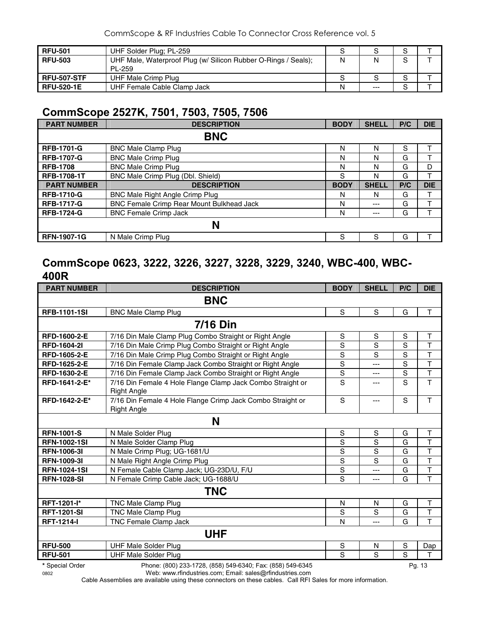| <b>RFU-501</b>     | UHF Solder Plug; PL-259                                        |   |       |             |  |
|--------------------|----------------------------------------------------------------|---|-------|-------------|--|
| <b>RFU-503</b>     | UHF Male, Waterproof Plug (w/ Silicon Rubber O-Rings / Seals); | N |       | $\mathbf C$ |  |
|                    | PL-259                                                         |   |       |             |  |
| <b>RFU-507-STF</b> | UHF Male Crimp Plug                                            |   |       |             |  |
| <b>RFU-520-1E</b>  | UHF Female Cable Clamp Jack                                    | N | $---$ |             |  |

## **CommScope 2527K, 7501, 7503, 7505, 7506**

| <b>PART NUMBER</b> | <b>DESCRIPTION</b>                        | <b>BODY</b> | <b>SHELL</b> | P/C | <b>DIE</b> |  |  |  |  |
|--------------------|-------------------------------------------|-------------|--------------|-----|------------|--|--|--|--|
|                    | <b>BNC</b>                                |             |              |     |            |  |  |  |  |
| <b>RFB-1701-G</b>  | <b>BNC Male Clamp Plug</b>                | N           | N            | S   |            |  |  |  |  |
| <b>RFB-1707-G</b>  | <b>BNC Male Crimp Plug</b>                | N           | N            | G   |            |  |  |  |  |
| <b>RFB-1708</b>    | <b>BNC Male Crimp Plug</b>                | N           | N            | G   | D          |  |  |  |  |
| <b>RFB-1708-1T</b> | BNC Male Crimp Plug (Dbl. Shield)         | S           | N            | G   |            |  |  |  |  |
| <b>PART NUMBER</b> | <b>DESCRIPTION</b>                        | <b>BODY</b> | <b>SHELL</b> | P/C | <b>DIE</b> |  |  |  |  |
| <b>RFB-1710-G</b>  | BNC Male Right Angle Crimp Plug           | N           | N            | G   |            |  |  |  |  |
| <b>RFB-1717-G</b>  | BNC Female Crimp Rear Mount Bulkhead Jack | N           | $---$        | G   | T          |  |  |  |  |
| <b>RFB-1724-G</b>  | <b>BNC Female Crimp Jack</b>              | N           | $---$        | G   |            |  |  |  |  |
|                    | N                                         |             |              |     |            |  |  |  |  |
| <b>RFN-1907-1G</b> | N Male Crimp Plug                         | S           | S            | G   |            |  |  |  |  |

## **CommScope 0623, 3222, 3226, 3227, 3228, 3229, 3240, WBC-400, WBC-400R**

| <b>PART NUMBER</b>  | <b>DESCRIPTION</b>                                         | <b>BODY</b>    | <b>SHELL</b>   | P/C            | <b>DIE</b>              |  |  |  |  |
|---------------------|------------------------------------------------------------|----------------|----------------|----------------|-------------------------|--|--|--|--|
|                     | <b>BNC</b>                                                 |                |                |                |                         |  |  |  |  |
| <b>RFB-1101-1SI</b> | <b>BNC Male Clamp Plug</b>                                 | S              | S              | G              | $\mathsf{T}$            |  |  |  |  |
|                     | <b>7/16 Din</b>                                            |                |                |                |                         |  |  |  |  |
| RFD-1600-2-E        | 7/16 Din Male Clamp Plug Combo Straight or Right Angle     | S              | S              | S              | $\mathsf{T}$            |  |  |  |  |
| <b>RFD-1604-21</b>  | 7/16 Din Male Crimp Plug Combo Straight or Right Angle     | S              | S              | S              | $\mathsf T$             |  |  |  |  |
| RFD-1605-2-E        | 7/16 Din Male Crimp Plug Combo Straight or Right Angle     | S              | S              | S              | $\mathsf T$             |  |  |  |  |
| RFD-1625-2-E        | 7/16 Din Female Clamp Jack Combo Straight or Right Angle   | $\overline{s}$ | ---            | $\overline{s}$ | $\overline{\mathsf{T}}$ |  |  |  |  |
| RFD-1630-2-E        | 7/16 Din Female Clamp Jack Combo Straight or Right Angle   | ${\mathsf S}$  | ---            | $\mathbf S$    | $\mathsf T$             |  |  |  |  |
| RFD-1641-2-E*       | 7/16 Din Female 4 Hole Flange Clamp Jack Combo Straight or | S              | ---            | S              | T                       |  |  |  |  |
|                     | <b>Right Angle</b>                                         |                |                |                |                         |  |  |  |  |
| RFD-1642-2-E*       | 7/16 Din Female 4 Hole Flange Crimp Jack Combo Straight or | S              | $---$          | S              | $\mathsf{T}$            |  |  |  |  |
|                     | <b>Right Angle</b>                                         |                |                |                |                         |  |  |  |  |
|                     | N                                                          |                |                |                |                         |  |  |  |  |
| <b>RFN-1001-S</b>   | N Male Solder Plug                                         | $\mathbf S$    | $\mathbf S$    | G              | $\mathsf T$             |  |  |  |  |
| <b>RFN-1002-1SI</b> | N Male Solder Clamp Plug                                   | S              | S              | G              | $\overline{\mathsf{T}}$ |  |  |  |  |
| <b>RFN-1006-31</b>  | N Male Crimp Plug; UG-1681/U                               | $\mathbf S$    | S              | G              | $\mathsf T$             |  |  |  |  |
| <b>RFN-1009-31</b>  | N Male Right Angle Crimp Plug                              | $\mathbf S$    | S              | G              | $\mathsf T$             |  |  |  |  |
| <b>RFN-1024-1SI</b> | N Female Cable Clamp Jack; UG-23D/U, F/U                   | S              | $\overline{a}$ | G              | $\mathsf T$             |  |  |  |  |
| <b>RFN-1028-SI</b>  | N Female Crimp Cable Jack; UG-1688/U                       | S              | $---$          | G              | T                       |  |  |  |  |
|                     | <b>TNC</b>                                                 |                |                |                |                         |  |  |  |  |
| RFT-1201-l*         | TNC Male Clamp Plug                                        | N              | N              | G              | T.                      |  |  |  |  |
| <b>RFT-1201-SI</b>  | TNC Male Clamp Plug                                        | S              | S              | G              | $\top$                  |  |  |  |  |
| <b>RFT-1214-I</b>   | <b>TNC Female Clamp Jack</b>                               | N              | $---$          | G              | T                       |  |  |  |  |
|                     | <b>UHF</b>                                                 |                |                |                |                         |  |  |  |  |
| <b>RFU-500</b>      | <b>UHF Male Solder Plug</b>                                | ${\mathsf S}$  | ${\sf N}$      | ${\mathsf S}$  | Dap                     |  |  |  |  |
| <b>RFU-501</b>      | <b>UHF Male Solder Plug</b>                                | S              | S              | $\overline{s}$ | T                       |  |  |  |  |
| * Special Order     | Phone: (800) 233-1728, (858) 549-6340; Fax: (858) 549-6345 |                |                |                | Pa. 13                  |  |  |  |  |

0802 Web: www.rfindustries.com; Email: sales@rfindustries.com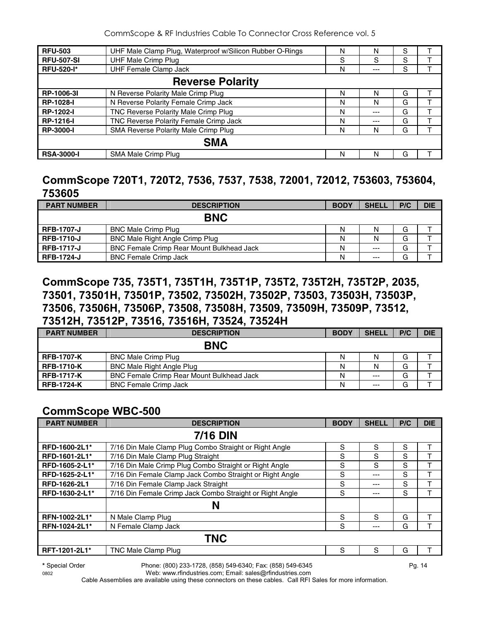| <b>RFU-503</b>          | UHF Male Clamp Plug, Waterproof w/Silicon Rubber O-Rings | N | N   | S |  |  |  |  |
|-------------------------|----------------------------------------------------------|---|-----|---|--|--|--|--|
| <b>RFU-507-SI</b>       | <b>UHF Male Crimp Plug</b>                               | S | S   | S |  |  |  |  |
| <b>RFU-520-I*</b>       | <b>UHF Female Clamp Jack</b>                             | N | --- | S |  |  |  |  |
| <b>Reverse Polarity</b> |                                                          |   |     |   |  |  |  |  |
| RP-1006-3I              | N Reverse Polarity Male Crimp Plug                       | N | N   | G |  |  |  |  |
| <b>RP-1028-I</b>        | N Reverse Polarity Female Crimp Jack                     | N | N   | G |  |  |  |  |
| <b>RP-1202-I</b>        | TNC Reverse Polarity Male Crimp Plug                     | N | --- | G |  |  |  |  |
| <b>RP-1216-I</b>        | TNC Reverse Polarity Female Crimp Jack                   | N | --- | G |  |  |  |  |
| <b>RP-3000-I</b>        | SMA Reverse Polarity Male Crimp Plug                     | N | N   | G |  |  |  |  |
| <b>SMA</b>              |                                                          |   |     |   |  |  |  |  |
| <b>RSA-3000-I</b>       | SMA Male Crimp Plug                                      | N | N   | G |  |  |  |  |

## **CommScope 720T1, 720T2, 7536, 7537, 7538, 72001, 72012, 753603, 753604, 753605**

| <b>PART NUMBER</b> | <b>DESCRIPTION</b>                               | <b>BODY</b> | <b>SHELL</b> | P/C | <b>DIE</b> |
|--------------------|--------------------------------------------------|-------------|--------------|-----|------------|
|                    | <b>BNC</b>                                       |             |              |     |            |
| <b>RFB-1707-J</b>  | <b>BNC Male Crimp Plug</b>                       | Ν           | N            | G   |            |
| <b>RFB-1710-J</b>  | <b>BNC Male Right Angle Crimp Plug</b>           | Ν           | N            | G   |            |
| <b>RFB-1717-J</b>  | <b>BNC Female Crimp Rear Mount Bulkhead Jack</b> | Ν           | $---$        | G   |            |
| <b>RFB-1724-J</b>  | <b>BNC Female Crimp Jack</b>                     | N           | $---$        | G   |            |

## **CommScope 735, 735T1, 735T1H, 735T1P, 735T2, 735T2H, 735T2P, 2035, 73501, 73501H, 73501P, 73502, 73502H, 73502P, 73503, 73503H, 73503P, 73506, 73506H, 73506P, 73508, 73508H, 73509, 73509H, 73509P, 73512, 73512H, 73512P, 73516, 73516H, 73524, 73524H**

| <b>PART NUMBER</b> | <b>DESCRIPTION</b>                               | <b>BODY</b> | <b>SHELL</b> | P/C | <b>DIE</b> |
|--------------------|--------------------------------------------------|-------------|--------------|-----|------------|
|                    | <b>BNC</b>                                       |             |              |     |            |
| <b>RFB-1707-K</b>  | <b>BNC Male Crimp Plug</b>                       | N           | N            | G   |            |
| <b>RFB-1710-K</b>  | <b>BNC Male Right Angle Plug</b>                 | N           | N            | G   |            |
| <b>RFB-1717-K</b>  | <b>BNC Female Crimp Rear Mount Bulkhead Jack</b> | N           | $---$        | G   |            |
| <b>RFB-1724-K</b>  | <b>BNC Female Crimp Jack</b>                     | N           | $---$        | G   |            |

## **CommScope WBC-500**

| <b>PART NUMBER</b>  | <b>DESCRIPTION</b>                                       | <b>BODY</b> | <b>SHELL</b> | P/C | <b>DIE</b> |  |
|---------------------|----------------------------------------------------------|-------------|--------------|-----|------------|--|
|                     | <b>7/16 DIN</b>                                          |             |              |     |            |  |
| RFD-1600-2L1*       | 7/16 Din Male Clamp Plug Combo Straight or Right Angle   | S           | S            | S   |            |  |
| RFD-1601-2L1*       | 7/16 Din Male Clamp Plug Straight                        | S           | S            | S   |            |  |
| RFD-1605-2-L1*      | 7/16 Din Male Crimp Plug Combo Straight or Right Angle   | S           | S            | S   |            |  |
| RFD-1625-2-L1*      | 7/16 Din Female Clamp Jack Combo Straight or Right Angle | S           | ---          | S   |            |  |
| <b>RFD-1626-2L1</b> | 7/16 Din Female Clamp Jack Straight                      | S           | ---          | S   |            |  |
| RFD-1630-2-L1*      | 7/16 Din Female Crimp Jack Combo Straight or Right Angle | S           | ---          | S   |            |  |
|                     | N                                                        |             |              |     |            |  |
| RFN-1002-2L1*       | N Male Clamp Plug                                        | S           | S            | G   |            |  |
| RFN-1024-2L1*       | N Female Clamp Jack                                      | S           | ---          | G   |            |  |
|                     | <b>TNC</b>                                               |             |              |     |            |  |
| RFT-1201-2L1*       | TNC Male Clamp Plug                                      | S           | S            | G   |            |  |

**\*** Special Order Phone: (800) 233-1728, (858) 549-6340; Fax: (858) 549-6345 Pg. 14

0802 Web: www.rfindustries.com; Email: sales@rfindustries.com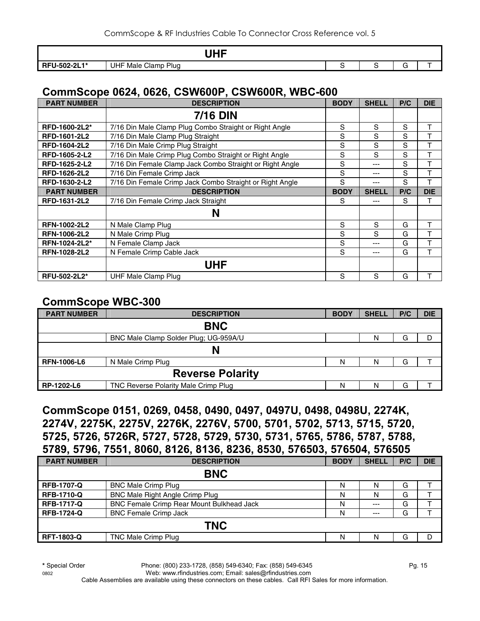|                         | ше<br>_<br>.<br>. .                 |  |   |  |
|-------------------------|-------------------------------------|--|---|--|
| J-502-2L1*<br><b>RF</b> | Plua<br>Clamp<br><b>UHF</b><br>Male |  | ∼ |  |

## **CommScope 0624, 0626, CSW600P, CSW600R, WBC-600**

| <b>PART NUMBER</b>  | <b>DESCRIPTION</b>                                       | <b>BODY</b> | <b>SHELL</b> | P/C | <b>DIE</b> |
|---------------------|----------------------------------------------------------|-------------|--------------|-----|------------|
|                     | <b>7/16 DIN</b>                                          |             |              |     |            |
| RFD-1600-2L2*       | 7/16 Din Male Clamp Plug Combo Straight or Right Angle   | S           | S            | S   | T          |
| RFD-1601-2L2        | 7/16 Din Male Clamp Plug Straight                        | S           | S            | S   | T          |
| RFD-1604-2L2        | 7/16 Din Male Crimp Plug Straight                        | S           | S            | S   | T          |
| RFD-1605-2-L2       | 7/16 Din Male Crimp Plug Combo Straight or Right Angle   | S           | S            | S   | т          |
| RFD-1625-2-L2       | 7/16 Din Female Clamp Jack Combo Straight or Right Angle | S           | $--$         | S   | T          |
| <b>RFD-1626-2L2</b> | 7/16 Din Female Crimp Jack                               | S           | $---$        | S   | T          |
| RFD-1630-2-L2       | 7/16 Din Female Crimp Jack Combo Straight or Right Angle | S           | $--$         | S   | T          |
| <b>PART NUMBER</b>  | <b>DESCRIPTION</b>                                       | <b>BODY</b> | <b>SHELL</b> | P/C | <b>DIE</b> |
| RFD-1631-2L2        | 7/16 Din Female Crimp Jack Straight                      | S           | ---          | S   | т          |
|                     | N                                                        |             |              |     |            |
| RFN-1002-2L2        | N Male Clamp Plug                                        | S           | S            | G   | T          |
| <b>RFN-1006-2L2</b> | N Male Crimp Plug                                        | S           | S            | G   | T          |
| RFN-1024-2L2*       | N Female Clamp Jack                                      | S           | $---$        | G   | T          |
| <b>RFN-1028-2L2</b> | N Female Crimp Cable Jack                                | S           | $---$        | G   | T          |
|                     | <b>UHF</b>                                               |             |              |     |            |
| <b>RFU-502-2L2*</b> | UHF Male Clamp Plug                                      | S           | S            | G   | т          |

#### **CommScope WBC-300**

| <b>PART NUMBER</b> | <b>DESCRIPTION</b>                    | <b>BODY</b> | <b>SHELL</b> | P/C | <b>DIE</b> |  |  |  |
|--------------------|---------------------------------------|-------------|--------------|-----|------------|--|--|--|
|                    | <b>BNC</b>                            |             |              |     |            |  |  |  |
|                    | BNC Male Clamp Solder Plug; UG-959A/U |             | N            | G   | D          |  |  |  |
|                    | N                                     |             |              |     |            |  |  |  |
| <b>RFN-1006-L6</b> | N Male Crimp Plug                     | N           | N            | G   |            |  |  |  |
|                    | <b>Reverse Polarity</b>               |             |              |     |            |  |  |  |
| RP-1202-L6         | TNC Reverse Polarity Male Crimp Plug  | N           | N            | G   |            |  |  |  |

## **CommScope 0151, 0269, 0458, 0490, 0497, 0497U, 0498, 0498U, 2274K, 2274V, 2275K, 2275V, 2276K, 2276V, 5700, 5701, 5702, 5713, 5715, 5720, 5725, 5726, 5726R, 5727, 5728, 5729, 5730, 5731, 5765, 5786, 5787, 5788, 5789, 5796, 7551, 8060, 8126, 8136, 8236, 8530, 576503, 576504, 576505**

| <b>PART NUMBER</b> | <b>DESCRIPTION</b>                               | <b>BODY</b> | <b>SHELL</b> | P/C | <b>DIE</b> |  |  |  |
|--------------------|--------------------------------------------------|-------------|--------------|-----|------------|--|--|--|
|                    | <b>BNC</b>                                       |             |              |     |            |  |  |  |
| <b>RFB-1707-Q</b>  | <b>BNC Male Crimp Plug</b>                       | N           | N            | G   |            |  |  |  |
| <b>RFB-1710-Q</b>  | BNC Male Right Angle Crimp Plug                  | N           | N            | G   |            |  |  |  |
| <b>RFB-1717-Q</b>  | <b>BNC Female Crimp Rear Mount Bulkhead Jack</b> | N           | $--$         | G   |            |  |  |  |
| <b>RFB-1724-Q</b>  | <b>BNC Female Crimp Jack</b>                     | N           | $--$         | G   |            |  |  |  |
| <b>TNC</b>         |                                                  |             |              |     |            |  |  |  |
| <b>RFT-1803-Q</b>  | TNC Male Crimp Plug                              | N           | Ν            | G   | Ð          |  |  |  |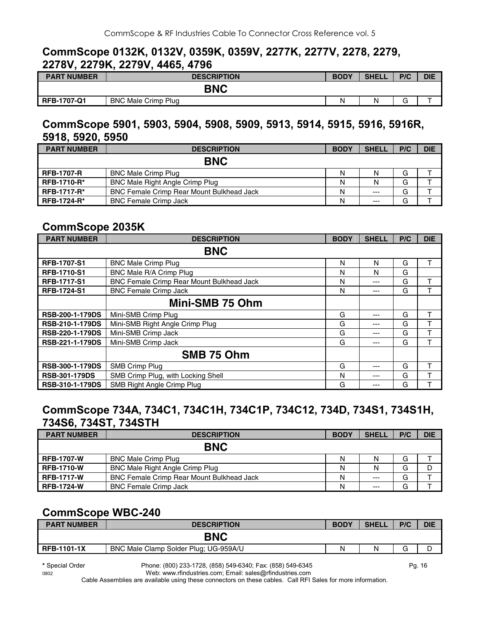#### **CommScope 0132K, 0132V, 0359K, 0359V, 2277K, 2277V, 2278, 2279, 2278V, 2279K, 2279V, 4465, 4796**

| <b>PART NUMBER</b> | <b>DESCRIPTION</b>         | <b>BODY</b> | <b>SHELL</b> | P/C         | <b>DIE</b> |
|--------------------|----------------------------|-------------|--------------|-------------|------------|
|                    | <b>BNC</b>                 |             |              |             |            |
| <b>RFB-1707-Q1</b> | <b>BNC Male Crimp Plug</b> | N           | N            | $\sim$<br>J |            |

## **CommScope 5901, 5903, 5904, 5908, 5909, 5913, 5914, 5915, 5916, 5916R, 5918, 5920, 5950**

| <b>PART NUMBER</b> | <b>DESCRIPTION</b>                               | <b>BODY</b> | <b>SHELL</b> | P/C | <b>DIE</b> |
|--------------------|--------------------------------------------------|-------------|--------------|-----|------------|
|                    | <b>BNC</b>                                       |             |              |     |            |
| <b>RFB-1707-R</b>  | <b>BNC Male Crimp Plug</b>                       | N           |              | G   |            |
| <b>RFB-1710-R*</b> | <b>BNC Male Right Angle Crimp Plug</b>           | N           | N            | G   |            |
| <b>RFB-1717-R*</b> | <b>BNC Female Crimp Rear Mount Bulkhead Jack</b> | N           | $--$         | G   |            |
| <b>RFB-1724-R*</b> | <b>BNC Female Crimp Jack</b>                     | N           | $---$        | G   |            |

## **CommScope 2035K**

| <b>PART NUMBER</b>     | <b>DESCRIPTION</b>                        | <b>BODY</b> | <b>SHELL</b> | P/C | <b>DIE</b> |
|------------------------|-------------------------------------------|-------------|--------------|-----|------------|
|                        | <b>BNC</b>                                |             |              |     |            |
| <b>RFB-1707-S1</b>     | <b>BNC Male Crimp Plug</b>                | N           | N            | G   | т          |
| <b>RFB-1710-S1</b>     | BNC Male R/A Crimp Plug                   | N           | N            | G   |            |
| <b>RFB-1717-S1</b>     | BNC Female Crimp Rear Mount Bulkhead Jack | N           | ---          | G   | т          |
| <b>RFB-1724-S1</b>     | <b>BNC Female Crimp Jack</b>              | N           | ---          | G   |            |
|                        | Mini-SMB 75 Ohm                           |             |              |     |            |
| <b>RSB-200-1-179DS</b> | Mini-SMB Crimp Plug                       | G           | ---          | G   | т          |
| <b>RSB-210-1-179DS</b> | Mini-SMB Right Angle Crimp Plug           | G           | ---          | G   | T          |
| <b>RSB-220-1-179DS</b> | Mini-SMB Crimp Jack                       | G           | ---          | G   |            |
| RSB-221-1-179DS        | Mini-SMB Crimp Jack                       | G           | ---          | G   |            |
|                        | SMB 75 Ohm                                |             |              |     |            |
| RSB-300-1-179DS        | SMB Crimp Plug                            | G           | ---          | G   | т          |
| <b>RSB-301-179DS</b>   | SMB Crimp Plug, with Locking Shell        | N           | ---          | G   |            |
| <b>RSB-310-1-179DS</b> | SMB Right Angle Crimp Plug                | G           | ---          | G   |            |

## **CommScope 734A, 734C1, 734C1H, 734C1P, 734C12, 734D, 734S1, 734S1H, 734S6, 734ST, 734STH**

| <b>PART NUMBER</b> | <b>DESCRIPTION</b>                               | <b>BODY</b> | <b>SHELL</b> | P/C | <b>DIE</b> |
|--------------------|--------------------------------------------------|-------------|--------------|-----|------------|
|                    | <b>BNC</b>                                       |             |              |     |            |
| <b>RFB-1707-W</b>  | <b>BNC Male Crimp Plug</b>                       | N           |              | G   |            |
| <b>RFB-1710-W</b>  | <b>BNC Male Right Angle Crimp Plug</b>           | N           | N            | G   | D          |
| <b>RFB-1717-W</b>  | <b>BNC Female Crimp Rear Mount Bulkhead Jack</b> | N           | $---$        | G   |            |
| <b>RFB-1724-W</b>  | <b>BNC Female Crimp Jack</b>                     | N           | $--$         | G   |            |

## **CommScope WBC-240**

| <b>PART NUMBER</b> | <b>DESCRIPTION</b>                    | <b>BODY</b> | <b>SHELL</b> | P/C | <b>DIE</b> |
|--------------------|---------------------------------------|-------------|--------------|-----|------------|
|                    | <b>BNC</b>                            |             |              |     |            |
| <b>RFB-1101-1X</b> | BNC Male Clamp Solder Plug; UG-959A/U | N           | N            | ⌒   |            |

0802 Web: www.rfindustries.com; Email: sales@rfindustries.com

**<sup>\*</sup>** Special Order Phone: (800) 233-1728, (858) 549-6340; Fax: (858) 549-6345 Pg. 16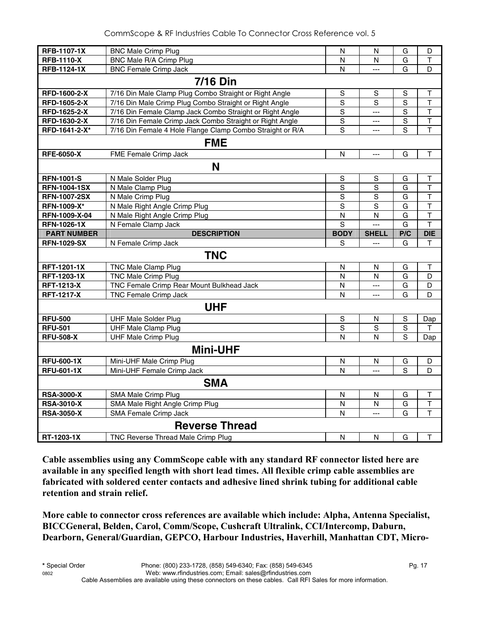| <b>RFB-1107-1X</b>  | <b>BNC Male Crimp Plug</b>                                         | N                       | N              | G              | D                       |  |
|---------------------|--------------------------------------------------------------------|-------------------------|----------------|----------------|-------------------------|--|
| <b>RFB-1110-X</b>   | BNC Male R/A Crimp Plug                                            | N                       | N              | G              | T                       |  |
| <b>RFB-1124-1X</b>  | <b>BNC Female Crimp Jack</b>                                       | N                       | $\overline{a}$ | G              | D                       |  |
| <b>7/16 Din</b>     |                                                                    |                         |                |                |                         |  |
| RFD-1600-2-X        | 7/16 Din Male Clamp Plug Combo Straight or Right Angle             | $\mathbb S$             | S              | $\mathbf S$    | Τ                       |  |
| RFD-1605-2-X        | 7/16 Din Male Crimp Plug Combo Straight or Right Angle             | $\mathbf S$             | S              | $\overline{S}$ | $\mathsf T$             |  |
| RFD-1625-2-X        | 7/16 Din Female Clamp Jack Combo Straight or Right Angle           | $\overline{s}$          | $\overline{a}$ | $\overline{s}$ | T                       |  |
| RFD-1630-2-X        | 7/16 Din Female Crimp Jack Combo Straight or Right Angle           | $\overline{S}$          | $\overline{a}$ | $\overline{S}$ | $\overline{\mathsf{T}}$ |  |
| RFD-1641-2-X*       | 7/16 Din Female 4 Hole Flange Clamp Combo Straight or R/A          | $\mathbf S$             | ---            | S              | $\mathsf{T}$            |  |
|                     | <b>FME</b>                                                         |                         |                |                |                         |  |
| <b>RFE-6050-X</b>   | FME Female Crimp Jack                                              | N                       | $\overline{a}$ | G              | $\top$                  |  |
|                     | N                                                                  |                         |                |                |                         |  |
| <b>RFN-1001-S</b>   | N Male Solder Plug                                                 | $\mathbb S$             | S              | G              | т                       |  |
| <b>RFN-1004-1SX</b> | N Male Clamp Plug                                                  | $\mathbf S$             | $\mathsf S$    | G              | $\mathsf T$             |  |
| <b>RFN-1007-2SX</b> | N Male Crimp Plug                                                  | $\overline{s}$          | $\overline{s}$ | $\overline{G}$ | $\overline{\mathsf{T}}$ |  |
| <b>RFN-1009-X*</b>  | N Male Right Angle Crimp Plug                                      | S                       | S              | G              | $\overline{\mathsf{T}}$ |  |
| RFN-1009-X-04       | N Male Right Angle Crimp Plug                                      | $\overline{\mathsf{N}}$ | N              | G              | $\overline{\mathsf{T}}$ |  |
| <b>RFN-1026-1X</b>  | N Female Clamp Jack                                                | $\overline{s}$          |                | $\overline{G}$ | $\overline{\mathsf{T}}$ |  |
| <b>PART NUMBER</b>  | <b>DESCRIPTION</b>                                                 | <b>BODY</b>             | <b>SHELL</b>   | P/C            | <b>DIE</b>              |  |
| <b>RFN-1029-SX</b>  | N Female Crimp Jack                                                | S                       | $\overline{a}$ | G              | $\mathsf{T}$            |  |
|                     |                                                                    |                         |                |                |                         |  |
|                     | <b>TNC</b>                                                         |                         |                |                |                         |  |
| RFT-1201-1X         | TNC Male Clamp Plug                                                | $\mathsf{N}$            | N              | G              | Т                       |  |
| <b>RFT-1203-1X</b>  | <b>TNC Male Crimp Plug</b>                                         | N                       | N              | $\overline{G}$ | $\overline{D}$          |  |
| <b>RFT-1213-X</b>   | TNC Female Crimp Rear Mount Bulkhead Jack                          | $\mathsf{N}$            | $\overline{a}$ | G              | D                       |  |
| <b>RFT-1217-X</b>   | TNC Female Crimp Jack                                              | N                       | $---$          | G              | D                       |  |
|                     | <b>UHF</b>                                                         |                         |                |                |                         |  |
| <b>RFU-500</b>      | <b>UHF Male Solder Plug</b>                                        | S                       | $\mathsf{N}$   | $\mathbf S$    | Dap                     |  |
| <b>RFU-501</b>      | <b>UHF Male Clamp Plug</b>                                         | $\overline{s}$          | $\overline{s}$ | $\overline{s}$ | Τ                       |  |
| <b>RFU-508-X</b>    | <b>UHF Male Crimp Plug</b>                                         | N                       | N              | S              | Dap                     |  |
|                     | <b>Mini-UHF</b>                                                    |                         |                |                |                         |  |
| <b>RFU-600-1X</b>   | Mini-UHF Male Crimp Plug                                           | N                       | N              | G              | D                       |  |
| <b>RFU-601-1X</b>   | Mini-UHF Female Crimp Jack                                         | N                       | $\overline{a}$ | S              | D                       |  |
|                     | <b>SMA</b>                                                         |                         |                |                |                         |  |
| <b>RSA-3000-X</b>   | SMA Male Crimp Plug                                                | $\mathsf{N}$            | $\mathsf{N}$   | G              | Т                       |  |
| <b>RSA-3010-X</b>   | SMA Male Right Angle Crimp Plug                                    | N                       | N              | G              | $\mathsf T$             |  |
| <b>RSA-3050-X</b>   | SMA Female Crimp Jack                                              | N                       |                | G              | $\top$                  |  |
|                     | <b>Reverse Thread</b><br><b>TNC Reverse Thread Male Crimp Plug</b> |                         |                |                |                         |  |

**Cable assemblies using any CommScope cable with any standard RF connector listed here are available in any specified length with short lead times. All flexible crimp cable assemblies are fabricated with soldered center contacts and adhesive lined shrink tubing for additional cable retention and strain relief.** 

**More cable to connector cross references are available which include: Alpha, Antenna Specialist, BICCGeneral, Belden, Carol, Comm/Scope, Cushcraft Ultralink, CCI/Intercomp, Daburn, Dearborn, General/Guardian, GEPCO, Harbour Industries, Haverhill, Manhattan CDT, Micro-**